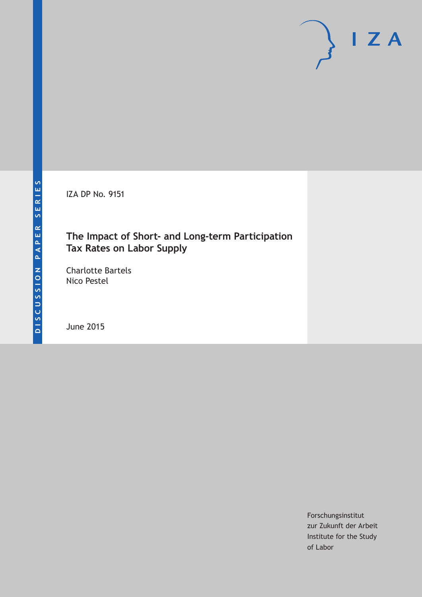IZA DP No. 9151

## **The Impact of Short- and Long-term Participation Tax Rates on Labor Supply**

Charlotte Bartels Nico Pestel

June 2015

Forschungsinstitut zur Zukunft der Arbeit Institute for the Study of Labor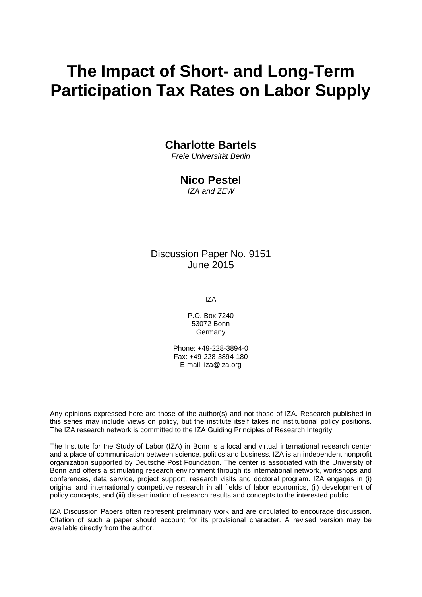# **The Impact of Short- and Long-Term Participation Tax Rates on Labor Supply**

## **Charlotte Bartels**

*Freie Universität Berlin*

## **Nico Pestel**

*IZA and ZEW*

## Discussion Paper No. 9151 June 2015

IZA

P.O. Box 7240 53072 Bonn Germany

Phone: +49-228-3894-0 Fax: +49-228-3894-180 E-mail: iza@iza.org

Any opinions expressed here are those of the author(s) and not those of IZA. Research published in this series may include views on policy, but the institute itself takes no institutional policy positions. The IZA research network is committed to the IZA Guiding Principles of Research Integrity.

The Institute for the Study of Labor (IZA) in Bonn is a local and virtual international research center and a place of communication between science, politics and business. IZA is an independent nonprofit organization supported by Deutsche Post Foundation. The center is associated with the University of Bonn and offers a stimulating research environment through its international network, workshops and conferences, data service, project support, research visits and doctoral program. IZA engages in (i) original and internationally competitive research in all fields of labor economics, (ii) development of policy concepts, and (iii) dissemination of research results and concepts to the interested public.

IZA Discussion Papers often represent preliminary work and are circulated to encourage discussion. Citation of such a paper should account for its provisional character. A revised version may be available directly from the author.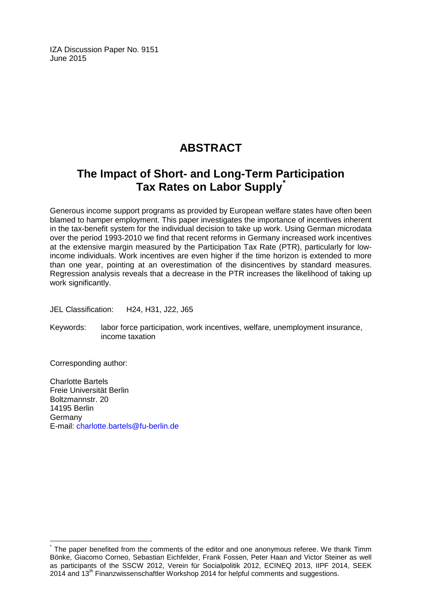IZA Discussion Paper No. 9151 June 2015

## **ABSTRACT**

## **The Impact of Short- and Long-Term Participation Tax Rates on Labor Supply[\\*](#page-2-0)**

Generous income support programs as provided by European welfare states have often been blamed to hamper employment. This paper investigates the importance of incentives inherent in the tax-benefit system for the individual decision to take up work. Using German microdata over the period 1993-2010 we find that recent reforms in Germany increased work incentives at the extensive margin measured by the Participation Tax Rate (PTR), particularly for lowincome individuals. Work incentives are even higher if the time horizon is extended to more than one year, pointing at an overestimation of the disincentives by standard measures. Regression analysis reveals that a decrease in the PTR increases the likelihood of taking up work significantly.

JEL Classification: H24, H31, J22, J65

Keywords: labor force participation, work incentives, welfare, unemployment insurance, income taxation

Corresponding author:

Charlotte Bartels Freie Universität Berlin Boltzmannstr. 20 14195 Berlin Germany E-mail: [charlotte.bartels@fu-berlin.de](mailto:charlotte.bartels@fu-berlin.de)

<span id="page-2-0"></span>The paper benefited from the comments of the editor and one anonymous referee. We thank Timm Bönke, Giacomo Corneo, Sebastian Eichfelder, Frank Fossen, Peter Haan and Victor Steiner as well as participants of the SSCW 2012, Verein für Socialpolitik 2012, ECINEQ 2013, IIPF 2014, SEEK 2014 and 13<sup>th</sup> Finanzwissenschaftler Workshop 2014 for helpful comments and suggestions.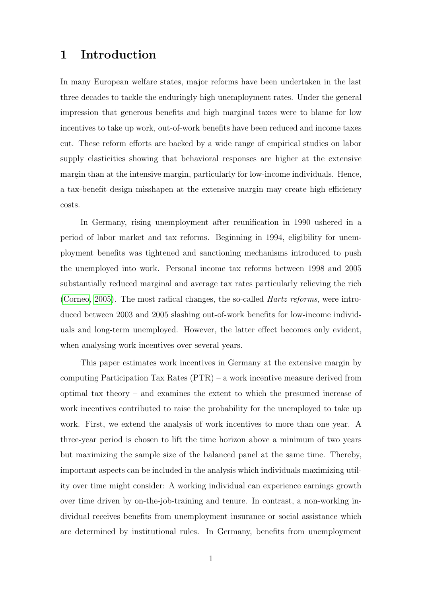## 1 Introduction

In many European welfare states, major reforms have been undertaken in the last three decades to tackle the enduringly high unemployment rates. Under the general impression that generous benefits and high marginal taxes were to blame for low incentives to take up work, out-of-work benefits have been reduced and income taxes cut. These reform efforts are backed by a wide range of empirical studies on labor supply elasticities showing that behavioral responses are higher at the extensive margin than at the intensive margin, particularly for low-income individuals. Hence, a tax-benefit design misshapen at the extensive margin may create high efficiency costs.

In Germany, rising unemployment after reunification in 1990 ushered in a period of labor market and tax reforms. Beginning in 1994, eligibility for unemployment benefits was tightened and sanctioning mechanisms introduced to push the unemployed into work. Personal income tax reforms between 1998 and 2005 substantially reduced marginal and average tax rates particularly relieving the rich [\(Corneo, 2005\)](#page-34-0). The most radical changes, the so-called Hartz reforms, were introduced between 2003 and 2005 slashing out-of-work benefits for low-income individuals and long-term unemployed. However, the latter effect becomes only evident, when analysing work incentives over several years.

This paper estimates work incentives in Germany at the extensive margin by computing Participation Tax Rates (PTR) – a work incentive measure derived from optimal tax theory – and examines the extent to which the presumed increase of work incentives contributed to raise the probability for the unemployed to take up work. First, we extend the analysis of work incentives to more than one year. A three-year period is chosen to lift the time horizon above a minimum of two years but maximizing the sample size of the balanced panel at the same time. Thereby, important aspects can be included in the analysis which individuals maximizing utility over time might consider: A working individual can experience earnings growth over time driven by on-the-job-training and tenure. In contrast, a non-working individual receives benefits from unemployment insurance or social assistance which are determined by institutional rules. In Germany, benefits from unemployment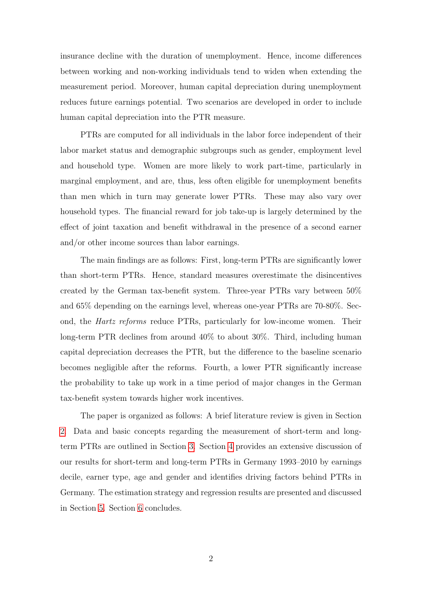insurance decline with the duration of unemployment. Hence, income differences between working and non-working individuals tend to widen when extending the measurement period. Moreover, human capital depreciation during unemployment reduces future earnings potential. Two scenarios are developed in order to include human capital depreciation into the PTR measure.

PTRs are computed for all individuals in the labor force independent of their labor market status and demographic subgroups such as gender, employment level and household type. Women are more likely to work part-time, particularly in marginal employment, and are, thus, less often eligible for unemployment benefits than men which in turn may generate lower PTRs. These may also vary over household types. The financial reward for job take-up is largely determined by the effect of joint taxation and benefit withdrawal in the presence of a second earner and/or other income sources than labor earnings.

The main findings are as follows: First, long-term PTRs are significantly lower than short-term PTRs. Hence, standard measures overestimate the disincentives created by the German tax-benefit system. Three-year PTRs vary between 50% and 65% depending on the earnings level, whereas one-year PTRs are 70-80%. Second, the Hartz reforms reduce PTRs, particularly for low-income women. Their long-term PTR declines from around 40% to about 30%. Third, including human capital depreciation decreases the PTR, but the difference to the baseline scenario becomes negligible after the reforms. Fourth, a lower PTR significantly increase the probability to take up work in a time period of major changes in the German tax-benefit system towards higher work incentives.

The paper is organized as follows: A brief literature review is given in Section [2.](#page-5-0) Data and basic concepts regarding the measurement of short-term and longterm PTRs are outlined in Section [3.](#page-6-0) Section [4](#page-12-0) provides an extensive discussion of our results for short-term and long-term PTRs in Germany 1993–2010 by earnings decile, earner type, age and gender and identifies driving factors behind PTRs in Germany. The estimation strategy and regression results are presented and discussed in Section [5.](#page-25-0) Section [6](#page-32-0) concludes.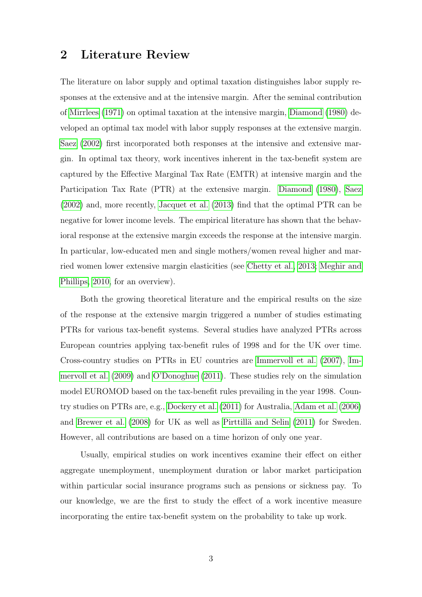## <span id="page-5-0"></span>2 Literature Review

The literature on labor supply and optimal taxation distinguishes labor supply responses at the extensive and at the intensive margin. After the seminal contribution of [Mirrlees](#page-35-0) [\(1971\)](#page-35-0) on optimal taxation at the intensive margin, [Diamond](#page-34-1) [\(1980\)](#page-34-1) developed an optimal tax model with labor supply responses at the extensive margin. [Saez](#page-35-1) [\(2002\)](#page-35-1) first incorporated both responses at the intensive and extensive margin. In optimal tax theory, work incentives inherent in the tax-benefit system are captured by the Effective Marginal Tax Rate (EMTR) at intensive margin and the Participation Tax Rate (PTR) at the extensive margin. [Diamond](#page-34-1) [\(1980\)](#page-34-1), [Saez](#page-35-1) [\(2002\)](#page-35-1) and, more recently, [Jacquet et al.](#page-34-2) [\(2013\)](#page-34-2) find that the optimal PTR can be negative for lower income levels. The empirical literature has shown that the behavioral response at the extensive margin exceeds the response at the intensive margin. In particular, low-educated men and single mothers/women reveal higher and married women lower extensive margin elasticities (see [Chetty et al., 2013;](#page-34-3) [Meghir and](#page-35-2) [Phillips, 2010,](#page-35-2) for an overview).

Both the growing theoretical literature and the empirical results on the size of the response at the extensive margin triggered a number of studies estimating PTRs for various tax-benefit systems. Several studies have analyzed PTRs across European countries applying tax-benefit rules of 1998 and for the UK over time. Cross-country studies on PTRs in EU countries are [Immervoll et al.](#page-34-4) [\(2007\)](#page-34-4), [Im](#page-34-5)[mervoll et al.](#page-34-5) [\(2009\)](#page-34-5) and [O'Donoghue](#page-35-3) [\(2011\)](#page-35-3). These studies rely on the simulation model EUROMOD based on the tax-benefit rules prevailing in the year 1998. Country studies on PTRs are, e.g., [Dockery et al.](#page-34-6) [\(2011\)](#page-34-6) for Australia, [Adam et al.](#page-34-7) [\(2006\)](#page-34-7) and [Brewer et al.](#page-34-8)  $(2008)$  for UK as well as Pirttillä and Selin  $(2011)$  for Sweden. However, all contributions are based on a time horizon of only one year.

Usually, empirical studies on work incentives examine their effect on either aggregate unemployment, unemployment duration or labor market participation within particular social insurance programs such as pensions or sickness pay. To our knowledge, we are the first to study the effect of a work incentive measure incorporating the entire tax-benefit system on the probability to take up work.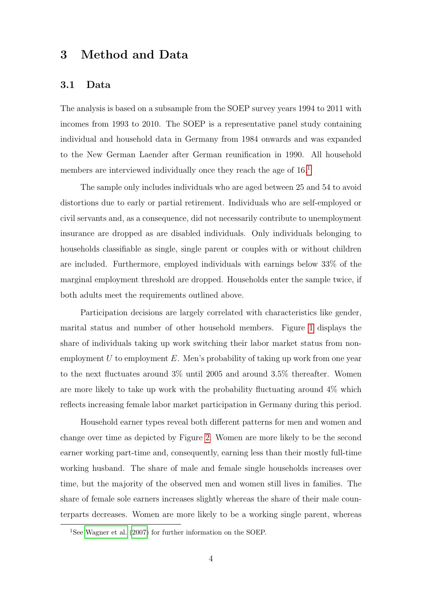## <span id="page-6-0"></span>3 Method and Data

#### 3.1 Data

The analysis is based on a subsample from the SOEP survey years 1994 to 2011 with incomes from 1993 to 2010. The SOEP is a representative panel study containing individual and household data in Germany from 1984 onwards and was expanded to the New German Laender after German reunification in 1990. All household members are interviewed individually once they reach the age of  $16<sup>1</sup>$  $16<sup>1</sup>$ 

The sample only includes individuals who are aged between 25 and 54 to avoid distortions due to early or partial retirement. Individuals who are self-employed or civil servants and, as a consequence, did not necessarily contribute to unemployment insurance are dropped as are disabled individuals. Only individuals belonging to households classifiable as single, single parent or couples with or without children are included. Furthermore, employed individuals with earnings below 33% of the marginal employment threshold are dropped. Households enter the sample twice, if both adults meet the requirements outlined above.

Participation decisions are largely correlated with characteristics like gender, marital status and number of other household members. Figure [1](#page-7-0) displays the share of individuals taking up work switching their labor market status from nonemployment U to employment E. Men's probability of taking up work from one year to the next fluctuates around 3% until 2005 and around 3.5% thereafter. Women are more likely to take up work with the probability fluctuating around 4% which reflects increasing female labor market participation in Germany during this period.

Household earner types reveal both different patterns for men and women and change over time as depicted by Figure [2.](#page-8-0) Women are more likely to be the second earner working part-time and, consequently, earning less than their mostly full-time working husband. The share of male and female single households increases over time, but the majority of the observed men and women still lives in families. The share of female sole earners increases slightly whereas the share of their male counterparts decreases. Women are more likely to be a working single parent, whereas

<span id="page-6-1"></span><sup>1</sup>See [Wagner et al.](#page-35-5) [\(2007\)](#page-35-5) for further information on the SOEP.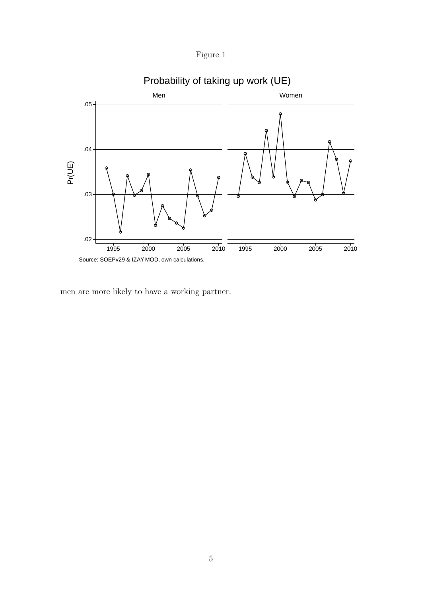

<span id="page-7-0"></span>

## Probability of taking up work (UE)

men are more likely to have a working partner.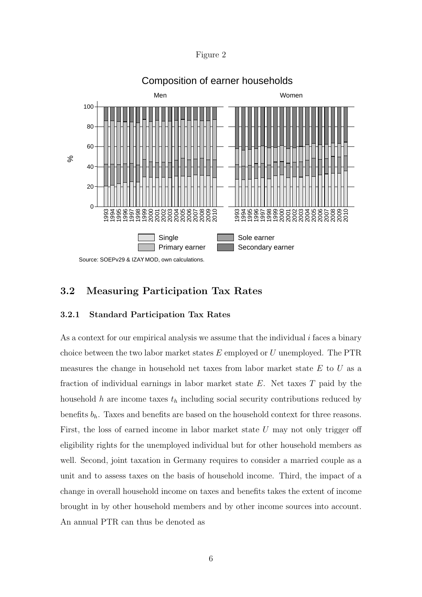

<span id="page-8-0"></span>

## Composition of earner households

### 3.2 Measuring Participation Tax Rates

#### 3.2.1 Standard Participation Tax Rates

As a context for our empirical analysis we assume that the individual i faces a binary choice between the two labor market states  $E$  employed or  $U$  unemployed. The PTR measures the change in household net taxes from labor market state  $E$  to  $U$  as a fraction of individual earnings in labor market state  $E$ . Net taxes  $T$  paid by the household  $h$  are income taxes  $t<sub>h</sub>$  including social security contributions reduced by benefits  $b_h$ . Taxes and benefits are based on the household context for three reasons. First, the loss of earned income in labor market state  $U$  may not only trigger off eligibility rights for the unemployed individual but for other household members as well. Second, joint taxation in Germany requires to consider a married couple as a unit and to assess taxes on the basis of household income. Third, the impact of a change in overall household income on taxes and benefits takes the extent of income brought in by other household members and by other income sources into account. An annual PTR can thus be denoted as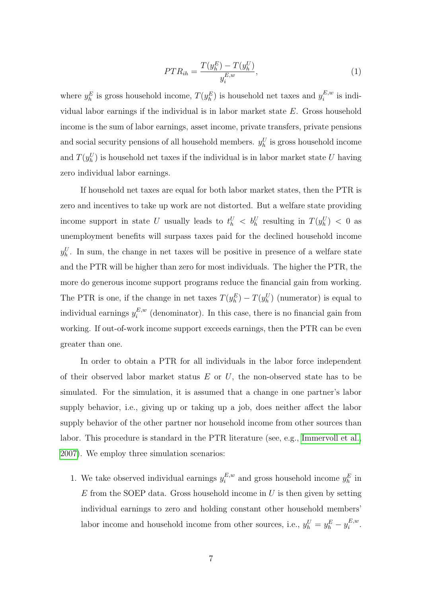$$
PTR_{ih} = \frac{T(y_h^E) - T(y_h^U)}{y_i^{E,w}},
$$
\n(1)

where  $y_h^E$  is gross household income,  $T(y_h^E)$  is household net taxes and  $y_i^{E,w}$  $i^{E,w}$  is individual labor earnings if the individual is in labor market state  $E$ . Gross household income is the sum of labor earnings, asset income, private transfers, private pensions and social security pensions of all household members.  $y_h^U$  is gross household income and  $T(y_h^U)$  is household net taxes if the individual is in labor market state U having zero individual labor earnings.

If household net taxes are equal for both labor market states, then the PTR is zero and incentives to take up work are not distorted. But a welfare state providing income support in state U usually leads to  $t_h^U < b_h^U$  resulting in  $T(y_h^U) < 0$  as unemployment benefits will surpass taxes paid for the declined household income  $y_h^U$ . In sum, the change in net taxes will be positive in presence of a welfare state and the PTR will be higher than zero for most individuals. The higher the PTR, the more do generous income support programs reduce the financial gain from working. The PTR is one, if the change in net taxes  $T(y_h^E) - T(y_h^U)$  (numerator) is equal to individual earnings  $y_i^{E,w}$  $i_i^{E,w}$  (denominator). In this case, there is no financial gain from working. If out-of-work income support exceeds earnings, then the PTR can be even greater than one.

In order to obtain a PTR for all individuals in the labor force independent of their observed labor market status  $E$  or  $U$ , the non-observed state has to be simulated. For the simulation, it is assumed that a change in one partner's labor supply behavior, i.e., giving up or taking up a job, does neither affect the labor supply behavior of the other partner nor household income from other sources than labor. This procedure is standard in the PTR literature (see, e.g., [Immervoll et al.,](#page-34-4) [2007\)](#page-34-4). We employ three simulation scenarios:

1. We take observed individual earnings  $y_i^{E,w}$  $i^{E,w}$  and gross household income  $y_h^E$  in E from the SOEP data. Gross household income in  $U$  is then given by setting individual earnings to zero and holding constant other household members' labor income and household income from other sources, i.e.,  $y_h^U = y_h^E - y_i^{E,u}$  $\int_i^{E,w}$ .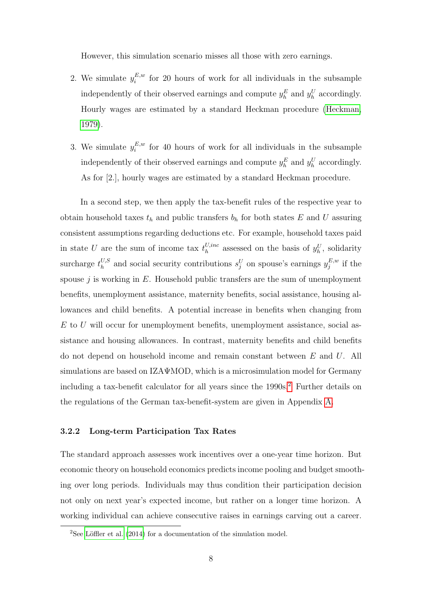However, this simulation scenario misses all those with zero earnings.

- 2. We simulate  $y_i^{E,w}$  $i_i^{E,w}$  for 20 hours of work for all individuals in the subsample independently of their observed earnings and compute  $y_h^E$  and  $y_h^U$  accordingly. Hourly wages are estimated by a standard Heckman procedure [\(Heckman,](#page-34-9) [1979\)](#page-34-9).
- 3. We simulate  $y_i^{E,w}$  $i_i^{E,w}$  for 40 hours of work for all individuals in the subsample independently of their observed earnings and compute  $y_h^E$  and  $y_h^U$  accordingly. As for [2.], hourly wages are estimated by a standard Heckman procedure.

In a second step, we then apply the tax-benefit rules of the respective year to obtain household taxes  $t_h$  and public transfers  $b_h$  for both states E and U assuring consistent assumptions regarding deductions etc. For example, household taxes paid in state U are the sum of income tax  $t_h^{U,inc}$  $\binom{U, inc}{h}$  assessed on the basis of  $y_h^U$ , solidarity surcharge  $t_h^{U,S}$  $\mathcal{L}_{h}^{U,S}$  and social security contributions  $s_j^U$  on spouse's earnings  $y_j^{E,w}$  $j^{E,w}$  if the spouse  $j$  is working in  $E$ . Household public transfers are the sum of unemployment benefits, unemployment assistance, maternity benefits, social assistance, housing allowances and child benefits. A potential increase in benefits when changing from  $E$  to  $U$  will occur for unemployment benefits, unemployment assistance, social assistance and housing allowances. In contrast, maternity benefits and child benefits do not depend on household income and remain constant between  $E$  and  $U$ . All simulations are based on IZAΨMOD, which is a microsimulation model for Germany including a tax-benefit calculator for all years since the  $1990s<sup>2</sup>$  $1990s<sup>2</sup>$  $1990s<sup>2</sup>$  Further details on the regulations of the German tax-benefit-system are given in Appendix [A.](#page-36-0)

#### 3.2.2 Long-term Participation Tax Rates

The standard approach assesses work incentives over a one-year time horizon. But economic theory on household economics predicts income pooling and budget smoothing over long periods. Individuals may thus condition their participation decision not only on next year's expected income, but rather on a longer time horizon. A working individual can achieve consecutive raises in earnings carving out a career.

<span id="page-10-0"></span><sup>&</sup>lt;sup>2</sup>See Löffler et al.  $(2014)$  for a documentation of the simulation model.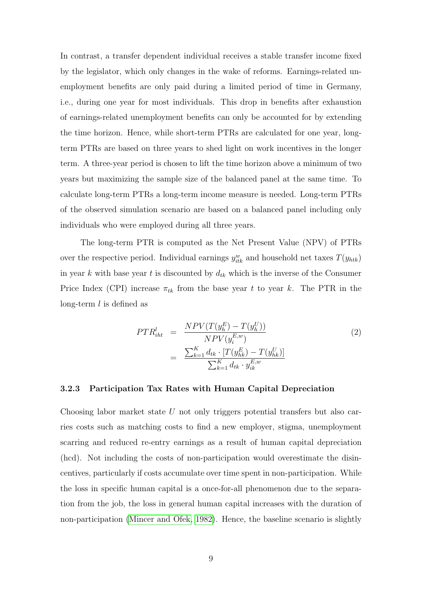In contrast, a transfer dependent individual receives a stable transfer income fixed by the legislator, which only changes in the wake of reforms. Earnings-related unemployment benefits are only paid during a limited period of time in Germany, i.e., during one year for most individuals. This drop in benefits after exhaustion of earnings-related unemployment benefits can only be accounted for by extending the time horizon. Hence, while short-term PTRs are calculated for one year, longterm PTRs are based on three years to shed light on work incentives in the longer term. A three-year period is chosen to lift the time horizon above a minimum of two years but maximizing the sample size of the balanced panel at the same time. To calculate long-term PTRs a long-term income measure is needed. Long-term PTRs of the observed simulation scenario are based on a balanced panel including only individuals who were employed during all three years.

The long-term PTR is computed as the Net Present Value (NPV) of PTRs over the respective period. Individual earnings  $y_{itk}^w$  and household net taxes  $T(y_{htk})$ in year k with base year t is discounted by  $d_{tk}$  which is the inverse of the Consumer Price Index (CPI) increase  $\pi_{tk}$  from the base year t to year k. The PTR in the long-term *l* is defined as

$$
PTR_{iht}^{l} = \frac{NPV(T(y_{h}^{E}) - T(y_{h}^{U}))}{NPV(y_{i}^{E,w})}
$$
\n
$$
= \frac{\sum_{k=1}^{K} d_{tk} \cdot [T(y_{hk}^{E}) - T(y_{hk}^{U})]}{\sum_{k=1}^{K} d_{tk} \cdot y_{ik}^{E,w}}
$$
\n(2)

#### 3.2.3 Participation Tax Rates with Human Capital Depreciation

Choosing labor market state  $U$  not only triggers potential transfers but also carries costs such as matching costs to find a new employer, stigma, unemployment scarring and reduced re-entry earnings as a result of human capital depreciation (hcd). Not including the costs of non-participation would overestimate the disincentives, particularly if costs accumulate over time spent in non-participation. While the loss in specific human capital is a once-for-all phenomenon due to the separation from the job, the loss in general human capital increases with the duration of non-participation [\(Mincer and Ofek, 1982\)](#page-35-6). Hence, the baseline scenario is slightly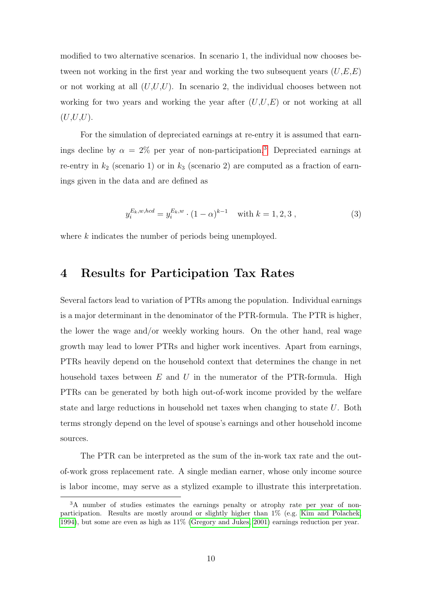modified to two alternative scenarios. In scenario 1, the individual now chooses between not working in the first year and working the two subsequent years  $(U,E,E)$ or not working at all  $(U, U, U)$ . In scenario 2, the individual chooses between not working for two years and working the year after  $(U, U, E)$  or not working at all  $(U,U,U).$ 

For the simulation of depreciated earnings at re-entry it is assumed that earnings decline by  $\alpha = 2\%$  per year of non-participation.<sup>[3](#page-12-1)</sup> Depreciated earnings at re-entry in  $k_2$  (scenario 1) or in  $k_3$  (scenario 2) are computed as a fraction of earnings given in the data and are defined as

$$
y_i^{E_k, w, hcd} = y_i^{E_k, w} \cdot (1 - \alpha)^{k-1} \quad \text{with } k = 1, 2, 3,
$$
 (3)

where k indicates the number of periods being unemployed.

## <span id="page-12-0"></span>4 Results for Participation Tax Rates

Several factors lead to variation of PTRs among the population. Individual earnings is a major determinant in the denominator of the PTR-formula. The PTR is higher, the lower the wage and/or weekly working hours. On the other hand, real wage growth may lead to lower PTRs and higher work incentives. Apart from earnings, PTRs heavily depend on the household context that determines the change in net household taxes between  $E$  and  $U$  in the numerator of the PTR-formula. High PTRs can be generated by both high out-of-work income provided by the welfare state and large reductions in household net taxes when changing to state  $U$ . Both terms strongly depend on the level of spouse's earnings and other household income sources.

The PTR can be interpreted as the sum of the in-work tax rate and the outof-work gross replacement rate. A single median earner, whose only income source is labor income, may serve as a stylized example to illustrate this interpretation.

<span id="page-12-1"></span><sup>&</sup>lt;sup>3</sup>A number of studies estimates the earnings penalty or atrophy rate per year of nonparticipation. Results are mostly around or slightly higher than 1% (e.g. [Kim and Polachek,](#page-34-11) [1994\)](#page-34-11), but some are even as high as 11% [\(Gregory and Jukes, 2001\)](#page-34-12) earnings reduction per year.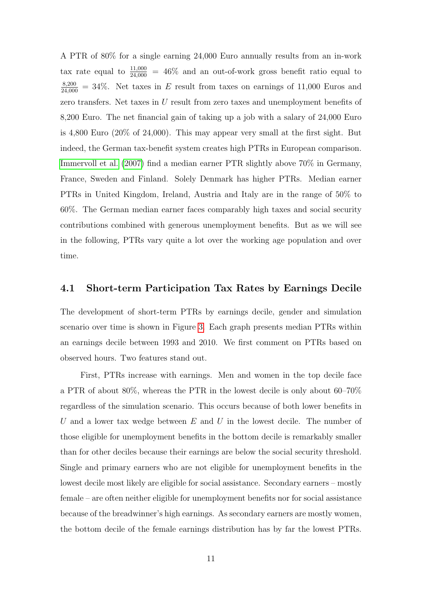A PTR of 80% for a single earning 24,000 Euro annually results from an in-work tax rate equal to  $\frac{11,000}{24,000}$  = 46% and an out-of-work gross benefit ratio equal to  $\frac{8,200}{24,000}$  = 34%. Net taxes in E result from taxes on earnings of 11,000 Euros and zero transfers. Net taxes in U result from zero taxes and unemployment benefits of 8,200 Euro. The net financial gain of taking up a job with a salary of 24,000 Euro is 4,800 Euro (20% of 24,000). This may appear very small at the first sight. But indeed, the German tax-benefit system creates high PTRs in European comparison. [Immervoll et al.](#page-34-4) [\(2007\)](#page-34-4) find a median earner PTR slightly above 70% in Germany, France, Sweden and Finland. Solely Denmark has higher PTRs. Median earner PTRs in United Kingdom, Ireland, Austria and Italy are in the range of 50% to 60%. The German median earner faces comparably high taxes and social security contributions combined with generous unemployment benefits. But as we will see in the following, PTRs vary quite a lot over the working age population and over time.

#### 4.1 Short-term Participation Tax Rates by Earnings Decile

The development of short-term PTRs by earnings decile, gender and simulation scenario over time is shown in Figure [3.](#page-16-0) Each graph presents median PTRs within an earnings decile between 1993 and 2010. We first comment on PTRs based on observed hours. Two features stand out.

First, PTRs increase with earnings. Men and women in the top decile face a PTR of about 80%, whereas the PTR in the lowest decile is only about 60–70% regardless of the simulation scenario. This occurs because of both lower benefits in  $U$  and a lower tax wedge between  $E$  and  $U$  in the lowest decile. The number of those eligible for unemployment benefits in the bottom decile is remarkably smaller than for other deciles because their earnings are below the social security threshold. Single and primary earners who are not eligible for unemployment benefits in the lowest decile most likely are eligible for social assistance. Secondary earners – mostly female – are often neither eligible for unemployment benefits nor for social assistance because of the breadwinner's high earnings. As secondary earners are mostly women, the bottom decile of the female earnings distribution has by far the lowest PTRs.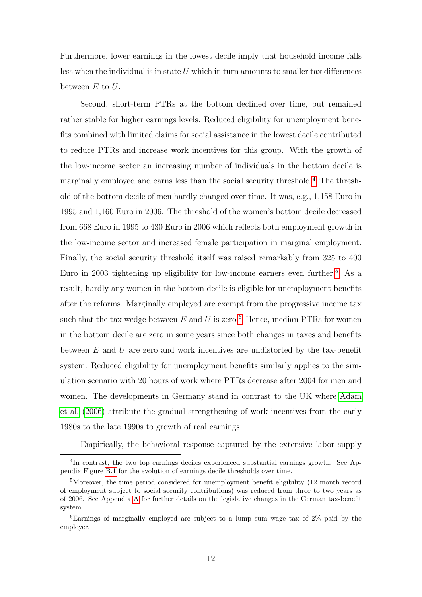Furthermore, lower earnings in the lowest decile imply that household income falls less when the individual is in state  $U$  which in turn amounts to smaller tax differences between  $E$  to  $U$ .

Second, short-term PTRs at the bottom declined over time, but remained rather stable for higher earnings levels. Reduced eligibility for unemployment benefits combined with limited claims for social assistance in the lowest decile contributed to reduce PTRs and increase work incentives for this group. With the growth of the low-income sector an increasing number of individuals in the bottom decile is marginally employed and earns less than the social security threshold.[4](#page-14-0) The threshold of the bottom decile of men hardly changed over time. It was, e.g., 1,158 Euro in 1995 and 1,160 Euro in 2006. The threshold of the women's bottom decile decreased from 668 Euro in 1995 to 430 Euro in 2006 which reflects both employment growth in the low-income sector and increased female participation in marginal employment. Finally, the social security threshold itself was raised remarkably from 325 to 400 Euro in 2003 tightening up eligibility for low-income earners even further.<sup>[5](#page-14-1)</sup> As a result, hardly any women in the bottom decile is eligible for unemployment benefits after the reforms. Marginally employed are exempt from the progressive income tax such that the tax wedge between  $E$  and  $U$  is zero.<sup>[6](#page-14-2)</sup> Hence, median PTRs for women in the bottom decile are zero in some years since both changes in taxes and benefits between  $E$  and  $U$  are zero and work incentives are undistorted by the tax-benefit system. Reduced eligibility for unemployment benefits similarly applies to the simulation scenario with 20 hours of work where PTRs decrease after 2004 for men and women. The developments in Germany stand in contrast to the UK where [Adam](#page-34-7) [et al.](#page-34-7) [\(2006\)](#page-34-7) attribute the gradual strengthening of work incentives from the early 1980s to the late 1990s to growth of real earnings.

Empirically, the behavioral response captured by the extensive labor supply

<span id="page-14-0"></span><sup>&</sup>lt;sup>4</sup>In contrast, the two top earnings deciles experienced substantial earnings growth. See Appendix Figure [B.1](#page-41-0) for the evolution of earnings decile thresholds over time.

<span id="page-14-1"></span><sup>&</sup>lt;sup>5</sup>Moreover, the time period considered for unemployment benefit eligibility (12 month record of employment subject to social security contributions) was reduced from three to two years as of 2006. See Appendix [A](#page-36-0) for further details on the legislative changes in the German tax-benefit system.

<span id="page-14-2"></span><sup>6</sup>Earnings of marginally employed are subject to a lump sum wage tax of 2% paid by the employer.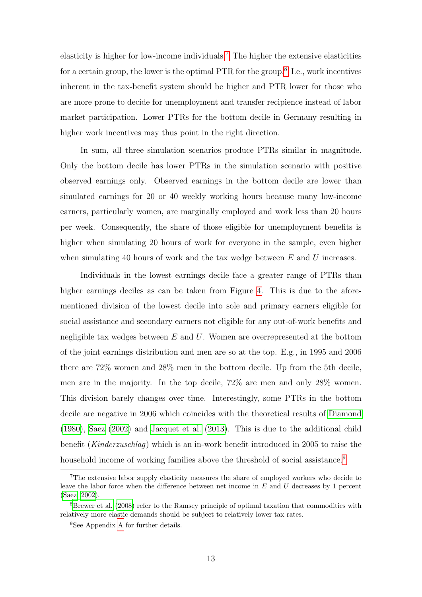elasticity is higher for low-income individuals.<sup>[7](#page-15-0)</sup> The higher the extensive elasticities for a certain group, the lower is the optimal PTR for the group.<sup>[8](#page-15-1)</sup> I.e., work incentives inherent in the tax-benefit system should be higher and PTR lower for those who are more prone to decide for unemployment and transfer recipience instead of labor market participation. Lower PTRs for the bottom decile in Germany resulting in higher work incentives may thus point in the right direction.

In sum, all three simulation scenarios produce PTRs similar in magnitude. Only the bottom decile has lower PTRs in the simulation scenario with positive observed earnings only. Observed earnings in the bottom decile are lower than simulated earnings for 20 or 40 weekly working hours because many low-income earners, particularly women, are marginally employed and work less than 20 hours per week. Consequently, the share of those eligible for unemployment benefits is higher when simulating 20 hours of work for everyone in the sample, even higher when simulating 40 hours of work and the tax wedge between  $E$  and  $U$  increases.

Individuals in the lowest earnings decile face a greater range of PTRs than higher earnings deciles as can be taken from Figure [4.](#page-16-1) This is due to the aforementioned division of the lowest decile into sole and primary earners eligible for social assistance and secondary earners not eligible for any out-of-work benefits and negligible tax wedges between  $E$  and  $U$ . Women are overrepresented at the bottom of the joint earnings distribution and men are so at the top. E.g., in 1995 and 2006 there are 72% women and 28% men in the bottom decile. Up from the 5th decile, men are in the majority. In the top decile, 72% are men and only 28% women. This division barely changes over time. Interestingly, some PTRs in the bottom decile are negative in 2006 which coincides with the theoretical results of [Diamond](#page-34-1) [\(1980\)](#page-34-1), [Saez](#page-35-1) [\(2002\)](#page-35-1) and [Jacquet et al.](#page-34-2) [\(2013\)](#page-34-2). This is due to the additional child benefit (Kinderzuschlag) which is an in-work benefit introduced in 2005 to raise the household income of working families above the threshold of social assistance.<sup>[9](#page-15-2)</sup>

<span id="page-15-0"></span><sup>7</sup>The extensive labor supply elasticity measures the share of employed workers who decide to leave the labor force when the difference between net income in  $E$  and  $U$  decreases by 1 percent [\(Saez, 2002\)](#page-35-1).

<span id="page-15-1"></span><sup>&</sup>lt;sup>8</sup>[Brewer et al.](#page-34-8) [\(2008\)](#page-34-8) refer to the Ramsey principle of optimal taxation that commodities with relatively more elastic demands should be subject to relatively lower tax rates.

<span id="page-15-2"></span><sup>9</sup>See Appendix [A](#page-36-0) for further details.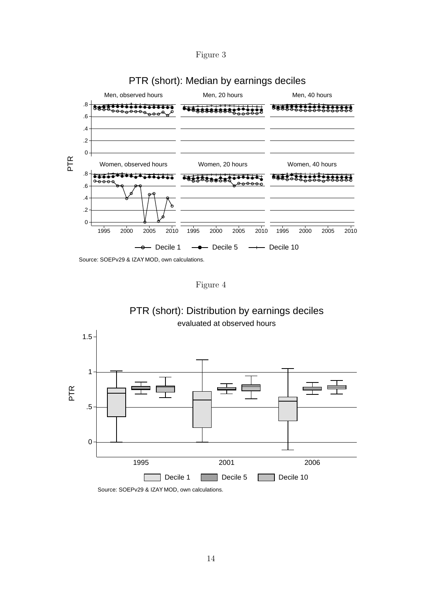

<span id="page-16-0"></span>

### PTR (short): Median by earnings deciles

Figure 4



<span id="page-16-1"></span>

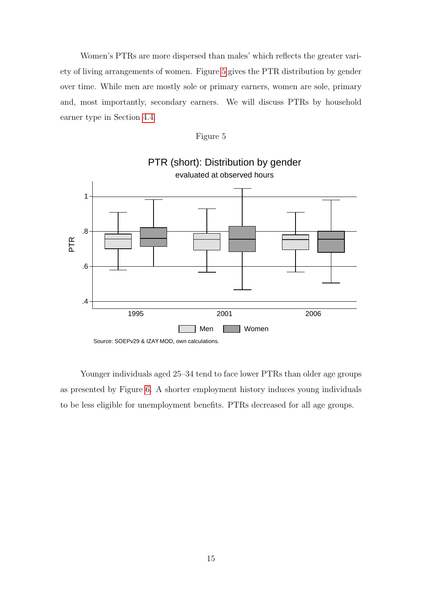Women's PTRs are more dispersed than males' which reflects the greater variety of living arrangements of women. Figure [5](#page-17-0) gives the PTR distribution by gender over time. While men are mostly sole or primary earners, women are sole, primary and, most importantly, secondary earners. We will discuss PTRs by household earner type in Section [4.4.](#page-22-0)

#### Figure 5

<span id="page-17-0"></span>

# PTR (short): Distribution by gender

Younger individuals aged 25–34 tend to face lower PTRs than older age groups as presented by Figure [6.](#page-18-0) A shorter employment history induces young individuals to be less eligible for unemployment benefits. PTRs decreased for all age groups.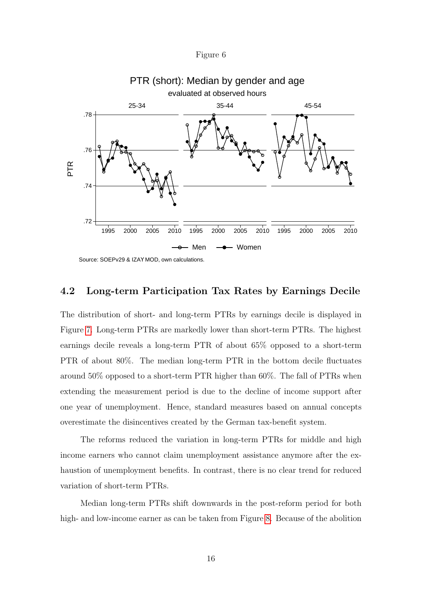

<span id="page-18-0"></span>

### 4.2 Long-term Participation Tax Rates by Earnings Decile

The distribution of short- and long-term PTRs by earnings decile is displayed in Figure [7.](#page-19-0) Long-term PTRs are markedly lower than short-term PTRs. The highest earnings decile reveals a long-term PTR of about 65% opposed to a short-term PTR of about 80%. The median long-term PTR in the bottom decile fluctuates around 50% opposed to a short-term PTR higher than 60%. The fall of PTRs when extending the measurement period is due to the decline of income support after one year of unemployment. Hence, standard measures based on annual concepts overestimate the disincentives created by the German tax-benefit system.

The reforms reduced the variation in long-term PTRs for middle and high income earners who cannot claim unemployment assistance anymore after the exhaustion of unemployment benefits. In contrast, there is no clear trend for reduced variation of short-term PTRs.

Median long-term PTRs shift downwards in the post-reform period for both high- and low-income earner as can be taken from Figure [8.](#page-20-0) Because of the abolition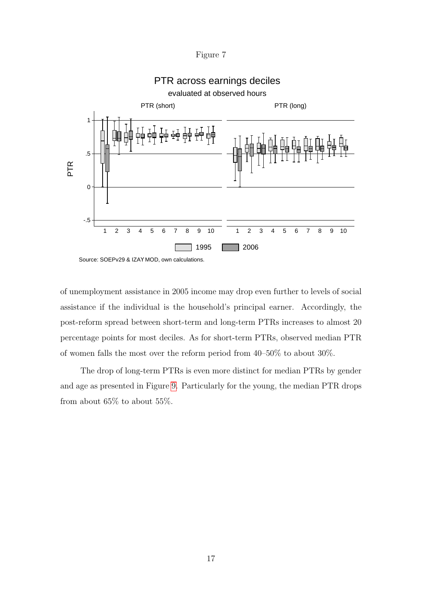

<span id="page-19-0"></span>

of unemployment assistance in 2005 income may drop even further to levels of social assistance if the individual is the household's principal earner. Accordingly, the post-reform spread between short-term and long-term PTRs increases to almost 20 percentage points for most deciles. As for short-term PTRs, observed median PTR of women falls the most over the reform period from 40–50% to about 30%.

The drop of long-term PTRs is even more distinct for median PTRs by gender and age as presented in Figure [9.](#page-20-1) Particularly for the young, the median PTR drops from about 65% to about 55%.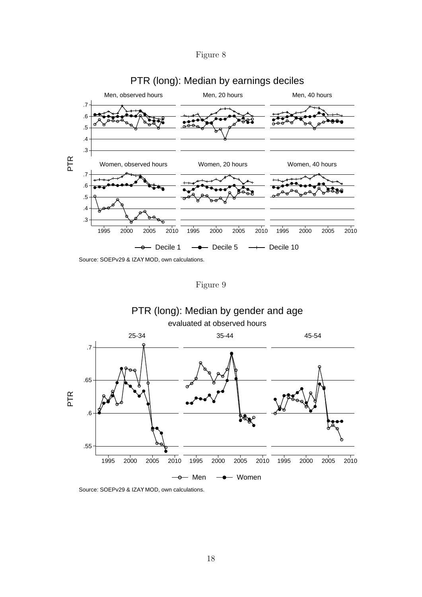

<span id="page-20-0"></span>

### PTR (long): Median by earnings deciles

Figure 9

<span id="page-20-1"></span>

Source: SOEPv29 & IZAΨMOD, own calculations.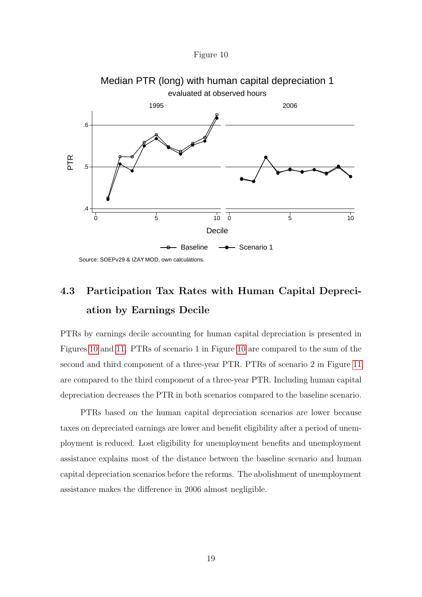

<span id="page-21-0"></span>

## 4.3 Participation Tax Rates with Human Capital Depreciation by Earnings Decile

PTRs by earnings decile accounting for human capital depreciation is presented in Figures [10](#page-21-0) and [11.](#page-22-1) PTRs of scenario 1 in Figure [10](#page-21-0) are compared to the sum of the second and third component of a three-year PTR. PTRs of scenario 2 in Figure [11](#page-22-1) are compared to the third component of a three-year PTR. Including human capital depreciation decreases the PTR in both scenarios compared to the baseline scenario.

PTRs based on the human capital depreciation scenarios are lower because taxes on depreciated earnings are lower and benefit eligibility after a period of unemployment is reduced. Lost eligibility for unemployment benefits and unemployment assistance explains most of the distance between the baseline scenario and human capital depreciation scenarios before the reforms. The abolishment of unemployment assistance makes the difference in 2006 almost negligible.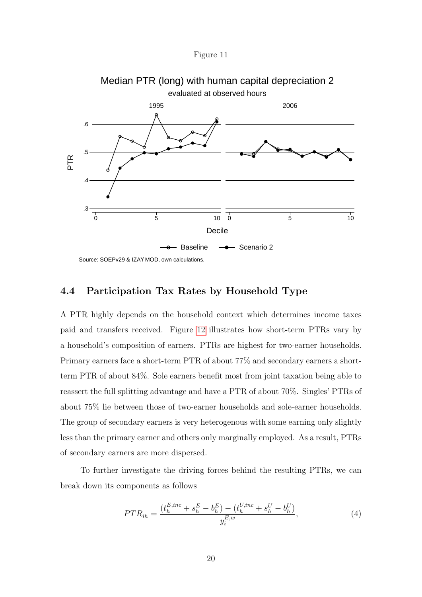

<span id="page-22-1"></span>

### <span id="page-22-0"></span>4.4 Participation Tax Rates by Household Type

A PTR highly depends on the household context which determines income taxes paid and transfers received. Figure [12](#page-23-0) illustrates how short-term PTRs vary by a household's composition of earners. PTRs are highest for two-earner households. Primary earners face a short-term PTR of about 77% and secondary earners a shortterm PTR of about 84%. Sole earners benefit most from joint taxation being able to reassert the full splitting advantage and have a PTR of about 70%. Singles' PTRs of about 75% lie between those of two-earner households and sole-earner households. The group of secondary earners is very heterogenous with some earning only slightly less than the primary earner and others only marginally employed. As a result, PTRs of secondary earners are more dispersed.

To further investigate the driving forces behind the resulting PTRs, we can break down its components as follows

$$
PTR_{ih} = \frac{(t_h^{E,inc} + s_h^E - b_h^E) - (t_h^{U,inc} + s_h^U - b_h^U)}{y_i^{E,w}},
$$
\n(4)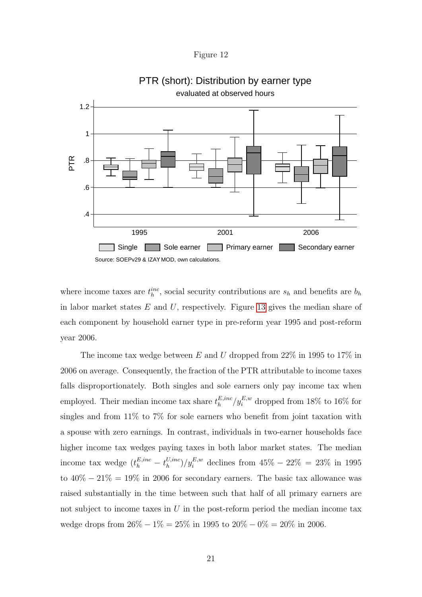#### Figure 12

<span id="page-23-0"></span>

# PTR (short): Distribution by earner type

where income taxes are  $t_h^{inc}$ , social security contributions are  $s_h$  and benefits are  $b_h$ in labor market states  $E$  and  $U$ , respectively. Figure [13](#page-25-1) gives the median share of each component by household earner type in pre-reform year 1995 and post-reform year 2006.

The income tax wedge between E and U dropped from  $22\%$  in 1995 to 17% in 2006 on average. Consequently, the fraction of the PTR attributable to income taxes falls disproportionately. Both singles and sole earners only pay income tax when employed. Their median income tax share  $t_h^{E,inc}$  $_{h}^{E,inc}/y_i^{E,w}$  dropped from 18% to 16% for singles and from 11% to 7% for sole earners who benefit from joint taxation with a spouse with zero earnings. In contrast, individuals in two-earner households face higher income tax wedges paying taxes in both labor market states. The median income tax wedge  $(t_h^{E,inc} - t_h^{U,inc})$  $\binom{U, inc}{h}/y_i^{E, w}$  declines from  $45\% - 22\% = 23\%$  in 1995 to  $40\% - 21\% = 19\%$  in 2006 for secondary earners. The basic tax allowance was raised substantially in the time between such that half of all primary earners are not subject to income taxes in U in the post-reform period the median income tax wedge drops from  $26\% - 1\% = 25\%$  in 1995 to  $20\% - 0\% = 20\%$  in 2006.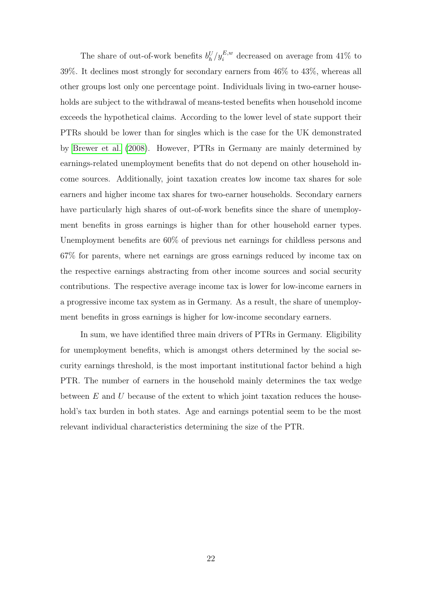The share of out-of-work benefits  $b_k^U/y_i^{E,w}$  decreased on average from 41% to 39%. It declines most strongly for secondary earners from 46% to 43%, whereas all other groups lost only one percentage point. Individuals living in two-earner households are subject to the withdrawal of means-tested benefits when household income exceeds the hypothetical claims. According to the lower level of state support their PTRs should be lower than for singles which is the case for the UK demonstrated by [Brewer et al.](#page-34-8) [\(2008\)](#page-34-8). However, PTRs in Germany are mainly determined by earnings-related unemployment benefits that do not depend on other household income sources. Additionally, joint taxation creates low income tax shares for sole earners and higher income tax shares for two-earner households. Secondary earners have particularly high shares of out-of-work benefits since the share of unemployment benefits in gross earnings is higher than for other household earner types. Unemployment benefits are 60% of previous net earnings for childless persons and 67% for parents, where net earnings are gross earnings reduced by income tax on the respective earnings abstracting from other income sources and social security contributions. The respective average income tax is lower for low-income earners in a progressive income tax system as in Germany. As a result, the share of unemployment benefits in gross earnings is higher for low-income secondary earners.

In sum, we have identified three main drivers of PTRs in Germany. Eligibility for unemployment benefits, which is amongst others determined by the social security earnings threshold, is the most important institutional factor behind a high PTR. The number of earners in the household mainly determines the tax wedge between  $E$  and  $U$  because of the extent to which joint taxation reduces the household's tax burden in both states. Age and earnings potential seem to be the most relevant individual characteristics determining the size of the PTR.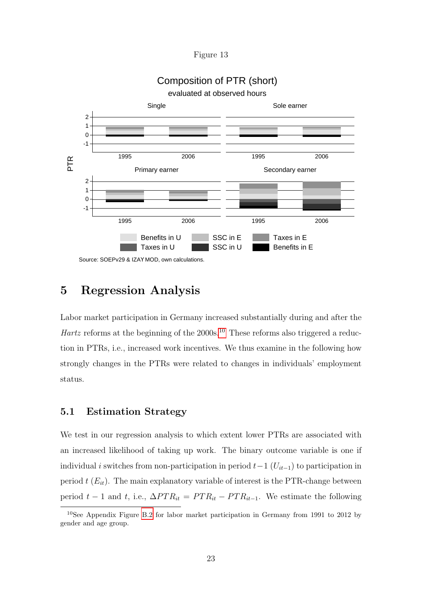Figure 13

<span id="page-25-1"></span>

### Composition of PTR (short)

## <span id="page-25-0"></span>5 Regression Analysis

Labor market participation in Germany increased substantially during and after the Hartz reforms at the beginning of the  $2000s$ .<sup>[10](#page-25-2)</sup> These reforms also triggered a reduction in PTRs, i.e., increased work incentives. We thus examine in the following how strongly changes in the PTRs were related to changes in individuals' employment status.

### 5.1 Estimation Strategy

We test in our regression analysis to which extent lower PTRs are associated with an increased likelihood of taking up work. The binary outcome variable is one if individual i switches from non-participation in period  $t-1$  ( $U_{it-1}$ ) to participation in period  $t(E_{it})$ . The main explanatory variable of interest is the PTR-change between period  $t - 1$  and  $t$ , i.e.,  $\Delta PTR_{it} = PTR_{it} - PTR_{it-1}$ . We estimate the following

<span id="page-25-2"></span><sup>10</sup>See Appendix Figure [B.2](#page-42-0) for labor market participation in Germany from 1991 to 2012 by gender and age group.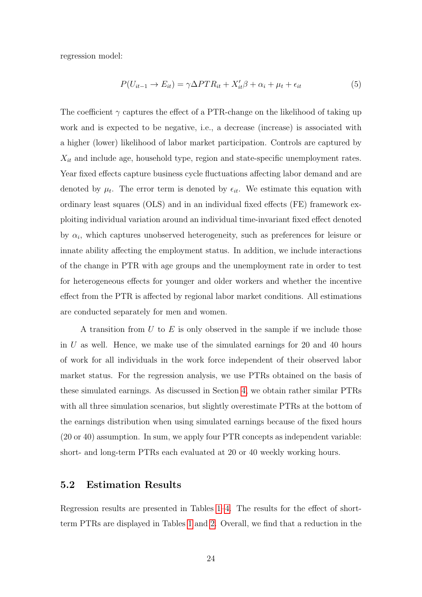regression model:

$$
P(U_{it-1} \to E_{it}) = \gamma \Delta P T R_{it} + X'_{it} \beta + \alpha_i + \mu_t + \epsilon_{it}
$$
\n<sup>(5)</sup>

The coefficient  $\gamma$  captures the effect of a PTR-change on the likelihood of taking up work and is expected to be negative, i.e., a decrease (increase) is associated with a higher (lower) likelihood of labor market participation. Controls are captured by  $X_{it}$  and include age, household type, region and state-specific unemployment rates. Year fixed effects capture business cycle fluctuations affecting labor demand and are denoted by  $\mu_t$ . The error term is denoted by  $\epsilon_{it}$ . We estimate this equation with ordinary least squares (OLS) and in an individual fixed effects (FE) framework exploiting individual variation around an individual time-invariant fixed effect denoted by  $\alpha_i$ , which captures unobserved heterogeneity, such as preferences for leisure or innate ability affecting the employment status. In addition, we include interactions of the change in PTR with age groups and the unemployment rate in order to test for heterogeneous effects for younger and older workers and whether the incentive effect from the PTR is affected by regional labor market conditions. All estimations are conducted separately for men and women.

A transition from  $U$  to  $E$  is only observed in the sample if we include those in U as well. Hence, we make use of the simulated earnings for 20 and 40 hours of work for all individuals in the work force independent of their observed labor market status. For the regression analysis, we use PTRs obtained on the basis of these simulated earnings. As discussed in Section [4,](#page-12-0) we obtain rather similar PTRs with all three simulation scenarios, but slightly overestimate PTRs at the bottom of the earnings distribution when using simulated earnings because of the fixed hours (20 or 40) assumption. In sum, we apply four PTR concepts as independent variable: short- and long-term PTRs each evaluated at 20 or 40 weekly working hours.

### 5.2 Estimation Results

Regression results are presented in Tables [1–](#page-28-0)[4.](#page-31-0) The results for the effect of shortterm PTRs are displayed in Tables [1](#page-28-0) and [2.](#page-29-0) Overall, we find that a reduction in the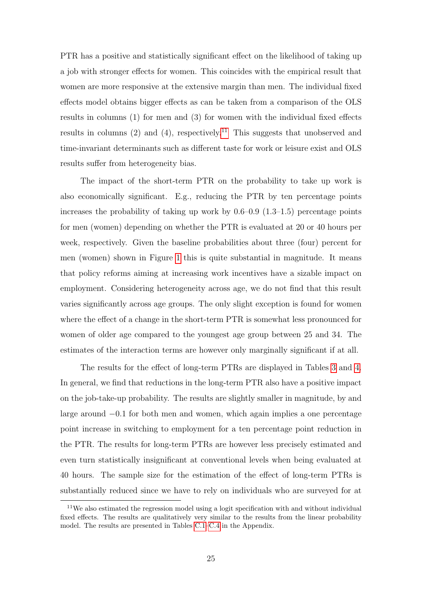PTR has a positive and statistically significant effect on the likelihood of taking up a job with stronger effects for women. This coincides with the empirical result that women are more responsive at the extensive margin than men. The individual fixed effects model obtains bigger effects as can be taken from a comparison of the OLS results in columns (1) for men and (3) for women with the individual fixed effects results in columns (2) and (4), respectively.<sup>[11](#page-27-0)</sup> This suggests that unobserved and time-invariant determinants such as different taste for work or leisure exist and OLS results suffer from heterogeneity bias.

The impact of the short-term PTR on the probability to take up work is also economically significant. E.g., reducing the PTR by ten percentage points increases the probability of taking up work by  $0.6-0.9$  (1.3–1.5) percentage points for men (women) depending on whether the PTR is evaluated at 20 or 40 hours per week, respectively. Given the baseline probabilities about three (four) percent for men (women) shown in Figure [1](#page-7-0) this is quite substantial in magnitude. It means that policy reforms aiming at increasing work incentives have a sizable impact on employment. Considering heterogeneity across age, we do not find that this result varies significantly across age groups. The only slight exception is found for women where the effect of a change in the short-term PTR is somewhat less pronounced for women of older age compared to the youngest age group between 25 and 34. The estimates of the interaction terms are however only marginally significant if at all.

The results for the effect of long-term PTRs are displayed in Tables [3](#page-30-0) and [4.](#page-31-0) In general, we find that reductions in the long-term PTR also have a positive impact on the job-take-up probability. The results are slightly smaller in magnitude, by and large around −0.1 for both men and women, which again implies a one percentage point increase in switching to employment for a ten percentage point reduction in the PTR. The results for long-term PTRs are however less precisely estimated and even turn statistically insignificant at conventional levels when being evaluated at 40 hours. The sample size for the estimation of the effect of long-term PTRs is substantially reduced since we have to rely on individuals who are surveyed for at

<span id="page-27-0"></span><sup>&</sup>lt;sup>11</sup>We also estimated the regression model using a logit specification with and without individual fixed effects. The results are qualitatively very similar to the results from the linear probability model. The results are presented in Tables [C.1–](#page-43-0)[C.4](#page-46-0) in the Appendix.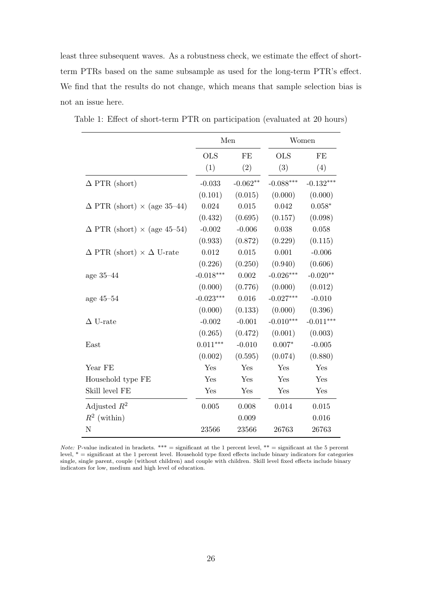least three subsequent waves. As a robustness check, we estimate the effect of shortterm PTRs based on the same subsample as used for the long-term PTR's effect. We find that the results do not change, which means that sample selection bias is not an issue here.

|                                             | Men         |            | Women       |             |
|---------------------------------------------|-------------|------------|-------------|-------------|
|                                             | <b>OLS</b>  | FE         | <b>OLS</b>  | FE          |
|                                             | (1)         | (2)        | (3)         | (4)         |
| $\Delta$ PTR (short)                        | $-0.033$    | $-0.062**$ | $-0.088***$ | $-0.132***$ |
|                                             | (0.101)     | (0.015)    | (0.000)     | (0.000)     |
| $\Delta$ PTR (short) $\times$ (age 35–44)   | 0.024       | 0.015      | 0.042       | $0.058*$    |
|                                             | (0.432)     | (0.695)    | (0.157)     | (0.098)     |
| $\Delta$ PTR (short) $\times$ (age 45-54)   | $-0.002$    | $-0.006$   | 0.038       | 0.058       |
|                                             | (0.933)     | (0.872)    | (0.229)     | (0.115)     |
| $\Delta$ PTR (short) $\times \Delta$ U-rate | 0.012       | 0.015      | 0.001       | $-0.006$    |
|                                             | (0.226)     | (0.250)    | (0.940)     | (0.606)     |
| age 35-44                                   | $-0.018***$ | 0.002      | $-0.026***$ | $-0.020**$  |
|                                             | (0.000)     | (0.776)    | (0.000)     | (0.012)     |
| age $45-54$                                 | $-0.023***$ | 0.016      | $-0.027***$ | $-0.010$    |
|                                             | (0.000)     | (0.133)    | (0.000)     | (0.396)     |
| $\Delta$ U-rate                             | $-0.002$    | $-0.001$   | $-0.010***$ | $-0.011***$ |
|                                             | (0.265)     | (0.472)    | (0.001)     | (0.003)     |
| East                                        | $0.011***$  | $-0.010$   | $0.007*$    | $-0.005$    |
|                                             | (0.002)     | (0.595)    | (0.074)     | (0.880)     |
| Year FE                                     | Yes         | Yes        | Yes         | Yes         |
| Household type FE                           | Yes         | Yes        | Yes         | Yes         |
| Skill level FE                              | Yes         | Yes        | Yes         | Yes         |
| Adjusted $R^2$                              | 0.005       | 0.008      | 0.014       | 0.015       |
| $R^2$ (within)                              |             | 0.009      |             | 0.016       |
| N                                           | 23566       | 23566      | 26763       | 26763       |

<span id="page-28-0"></span>Table 1: Effect of short-term PTR on participation (evaluated at 20 hours)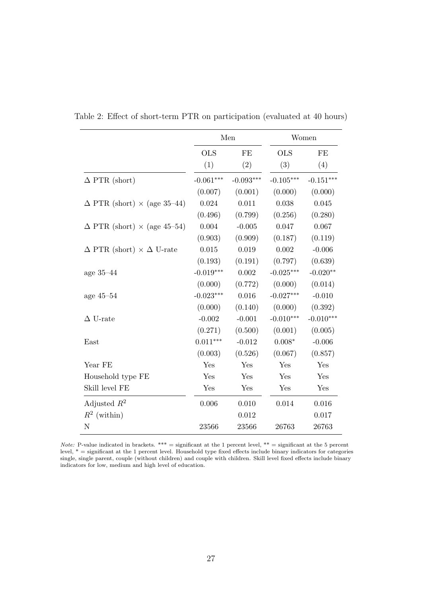|                                             | Men         |             | Women       |             |
|---------------------------------------------|-------------|-------------|-------------|-------------|
|                                             | <b>OLS</b>  | FE          | <b>OLS</b>  | FE          |
|                                             | (1)         | (2)         | (3)         | (4)         |
| $\Delta$ PTR (short)                        | $-0.061***$ | $-0.093***$ | $-0.105***$ | $-0.151***$ |
|                                             | (0.007)     | (0.001)     | (0.000)     | (0.000)     |
| $\Delta$ PTR (short) $\times$ (age 35–44)   | 0.024       | 0.011       | 0.038       | 0.045       |
|                                             | (0.496)     | (0.799)     | (0.256)     | (0.280)     |
| $\Delta$ PTR (short) $\times$ (age 45-54)   | 0.004       | $-0.005$    | 0.047       | 0.067       |
|                                             | (0.903)     | (0.909)     | (0.187)     | (0.119)     |
| $\Delta$ PTR (short) $\times \Delta$ U-rate | 0.015       | 0.019       | 0.002       | $-0.006$    |
|                                             | (0.193)     | (0.191)     | (0.797)     | (0.639)     |
| age $35-44$                                 | $-0.019***$ | 0.002       | $-0.025***$ | $-0.020**$  |
|                                             | (0.000)     | (0.772)     | (0.000)     | (0.014)     |
| age $45-54$                                 | $-0.023***$ | 0.016       | $-0.027***$ | $-0.010$    |
|                                             | (0.000)     | (0.140)     | (0.000)     | (0.392)     |
| $\Delta$ U-rate                             | $-0.002$    | $-0.001$    | $-0.010***$ | $-0.010***$ |
|                                             | (0.271)     | (0.500)     | (0.001)     | (0.005)     |
| East                                        | $0.011***$  | $-0.012$    | $0.008*$    | $-0.006$    |
|                                             | (0.003)     | (0.526)     | (0.067)     | (0.857)     |
| Year FE                                     | Yes         | Yes         | Yes         | Yes         |
| Household type FE                           | Yes         | Yes         | Yes         | Yes         |
| Skill level FE                              | Yes         | Yes         | Yes         | Yes         |
| Adjusted $R^2$                              | 0.006       | 0.010       | 0.014       | 0.016       |
| $R^2$ (within)                              |             | 0.012       |             | 0.017       |
| $\mathbf N$                                 | 23566       | 23566       | 26763       | 26763       |

<span id="page-29-0"></span>Table 2: Effect of short-term PTR on participation (evaluated at 40 hours)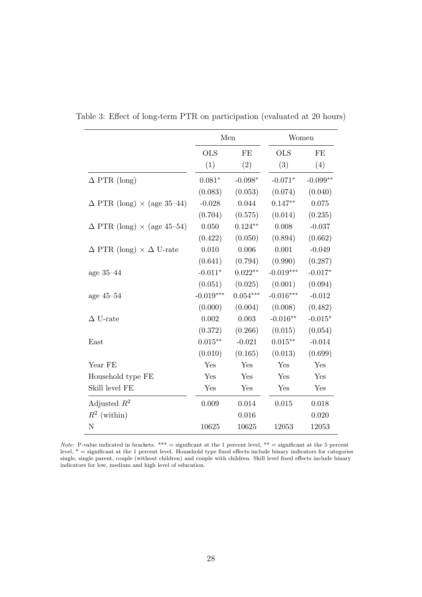|                                            | Men         |            | Women       |            |
|--------------------------------------------|-------------|------------|-------------|------------|
|                                            | <b>OLS</b>  | FE         | <b>OLS</b>  | FE         |
|                                            | (1)         | (2)        | (3)         | (4)        |
| $\Delta$ PTR (long)                        | $0.081*$    | $-0.098*$  | $-0.071*$   | $-0.099**$ |
|                                            | (0.083)     | (0.053)    | (0.074)     | (0.040)    |
| $\Delta$ PTR (long) $\times$ (age 35–44)   | $-0.028$    | 0.044      | $0.147**$   | 0.075      |
|                                            | (0.704)     | (0.575)    | (0.014)     | (0.235)    |
| $\Delta$ PTR (long) $\times$ (age 45–54)   | 0.050       | $0.124**$  | 0.008       | $-0.037$   |
|                                            | (0.422)     | (0.050)    | (0.894)     | (0.662)    |
| $\Delta$ PTR (long) $\times \Delta$ U-rate | 0.010       | 0.006      | 0.001       | $-0.049$   |
|                                            | (0.641)     | (0.794)    | (0.990)     | (0.287)    |
| age $35-44$                                | $-0.011*$   | $0.022**$  | $-0.019***$ | $-0.017*$  |
|                                            | (0.051)     | (0.025)    | (0.001)     | (0.094)    |
| age $45-54$                                | $-0.019***$ | $0.054***$ | $-0.016***$ | $-0.012$   |
|                                            | (0.000)     | (0.004)    | (0.008)     | (0.482)    |
| $\Delta$ U-rate                            | 0.002       | 0.003      | $-0.016**$  | $-0.015*$  |
|                                            | (0.372)     | (0.266)    | (0.015)     | (0.054)    |
| East                                       | $0.015***$  | $-0.021$   | $0.015***$  | $-0.014$   |
|                                            | (0.010)     | (0.165)    | (0.013)     | (0.699)    |
| Year FE                                    | Yes         | Yes        | Yes         | Yes        |
| Household type FE                          | Yes         | Yes        | Yes         | Yes        |
| Skill level FE                             | Yes         | Yes        | Yes         | Yes        |
| Adjusted $R^2$                             | 0.009       | 0.014      | 0.015       | 0.018      |
| $R^2$ (within)                             |             | 0.016      |             | 0.020      |
| $\mathbf N$                                | 10625       | 10625      | 12053       | 12053      |

<span id="page-30-0"></span>Table 3: Effect of long-term PTR on participation (evaluated at 20 hours)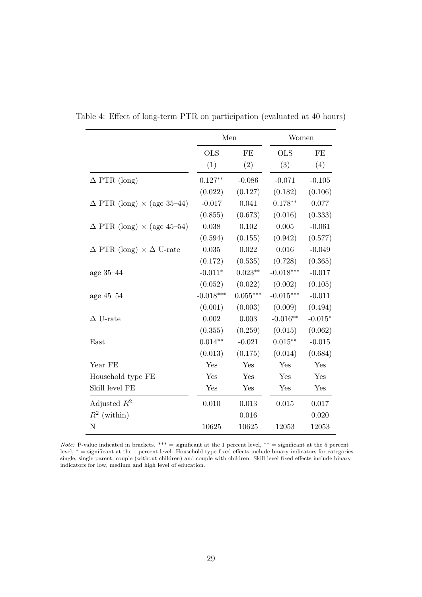|                                            | Men         |            | Women       |           |
|--------------------------------------------|-------------|------------|-------------|-----------|
|                                            | <b>OLS</b>  | FE         | <b>OLS</b>  | FE        |
|                                            | (1)         | (2)        | (3)         | (4)       |
| $\Delta$ PTR (long)                        | $0.127**$   | $-0.086$   | $-0.071$    | $-0.105$  |
|                                            | (0.022)     | (0.127)    | (0.182)     | (0.106)   |
| $\Delta$ PTR (long) $\times$ (age 35–44)   | $-0.017$    | 0.041      | $0.178**$   | 0.077     |
|                                            | (0.855)     | (0.673)    | (0.016)     | (0.333)   |
| $\Delta$ PTR (long) $\times$ (age 45–54)   | 0.038       | 0.102      | 0.005       | $-0.061$  |
|                                            | (0.594)     | (0.155)    | (0.942)     | (0.577)   |
| $\Delta$ PTR (long) $\times \Delta$ U-rate | 0.035       | 0.022      | 0.016       | $-0.049$  |
|                                            | (0.172)     | (0.535)    | (0.728)     | (0.365)   |
| age 35-44                                  | $-0.011*$   | $0.023**$  | $-0.018***$ | $-0.017$  |
|                                            | (0.052)     | (0.022)    | (0.002)     | (0.105)   |
| age $45-54$                                | $-0.018***$ | $0.055***$ | $-0.015***$ | $-0.011$  |
|                                            | (0.001)     | (0.003)    | (0.009)     | (0.494)   |
| $\Delta$ U-rate                            | 0.002       | 0.003      | $-0.016**$  | $-0.015*$ |
|                                            | (0.355)     | (0.259)    | (0.015)     | (0.062)   |
| East                                       | $0.014**$   | $-0.021$   | $0.015***$  | $-0.015$  |
|                                            | (0.013)     | (0.175)    | (0.014)     | (0.684)   |
| Year FE                                    | Yes         | Yes        | Yes         | Yes       |
| Household type FE                          | Yes         | Yes        | Yes         | Yes       |
| Skill level FE                             | Yes         | Yes        | Yes         | Yes       |
| Adjusted $R^2$                             | 0.010       | 0.013      | 0.015       | 0.017     |
| $R^2$ (within)                             |             | 0.016      |             | 0.020     |
| N                                          | 10625       | 10625      | 12053       | 12053     |

<span id="page-31-0"></span>Table 4: Effect of long-term PTR on participation (evaluated at 40 hours)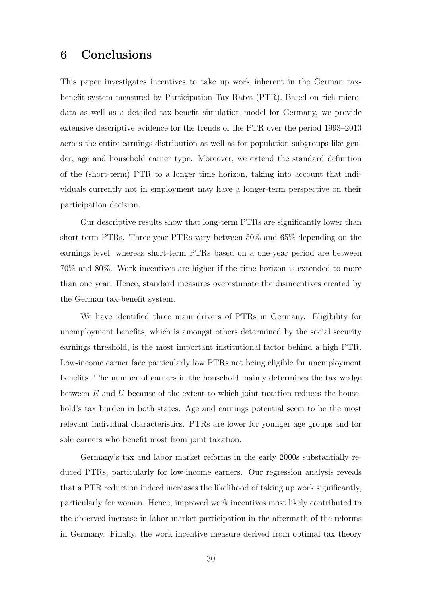## <span id="page-32-0"></span>6 Conclusions

This paper investigates incentives to take up work inherent in the German taxbenefit system measured by Participation Tax Rates (PTR). Based on rich microdata as well as a detailed tax-benefit simulation model for Germany, we provide extensive descriptive evidence for the trends of the PTR over the period 1993–2010 across the entire earnings distribution as well as for population subgroups like gender, age and household earner type. Moreover, we extend the standard definition of the (short-term) PTR to a longer time horizon, taking into account that individuals currently not in employment may have a longer-term perspective on their participation decision.

Our descriptive results show that long-term PTRs are significantly lower than short-term PTRs. Three-year PTRs vary between 50% and 65% depending on the earnings level, whereas short-term PTRs based on a one-year period are between 70% and 80%. Work incentives are higher if the time horizon is extended to more than one year. Hence, standard measures overestimate the disincentives created by the German tax-benefit system.

We have identified three main drivers of PTRs in Germany. Eligibility for unemployment benefits, which is amongst others determined by the social security earnings threshold, is the most important institutional factor behind a high PTR. Low-income earner face particularly low PTRs not being eligible for unemployment benefits. The number of earners in the household mainly determines the tax wedge between  $E$  and  $U$  because of the extent to which joint taxation reduces the household's tax burden in both states. Age and earnings potential seem to be the most relevant individual characteristics. PTRs are lower for younger age groups and for sole earners who benefit most from joint taxation.

Germany's tax and labor market reforms in the early 2000s substantially reduced PTRs, particularly for low-income earners. Our regression analysis reveals that a PTR reduction indeed increases the likelihood of taking up work significantly, particularly for women. Hence, improved work incentives most likely contributed to the observed increase in labor market participation in the aftermath of the reforms in Germany. Finally, the work incentive measure derived from optimal tax theory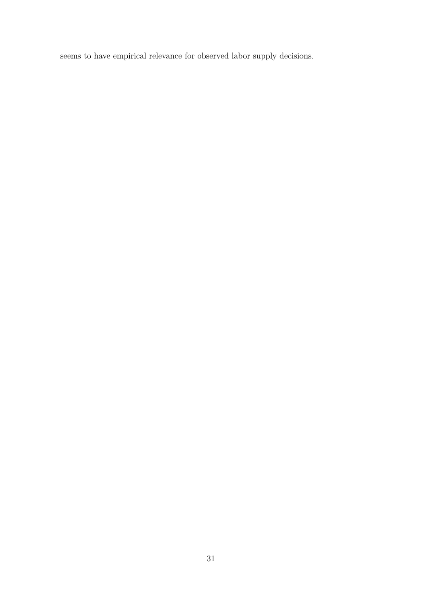seems to have empirical relevance for observed labor supply decisions.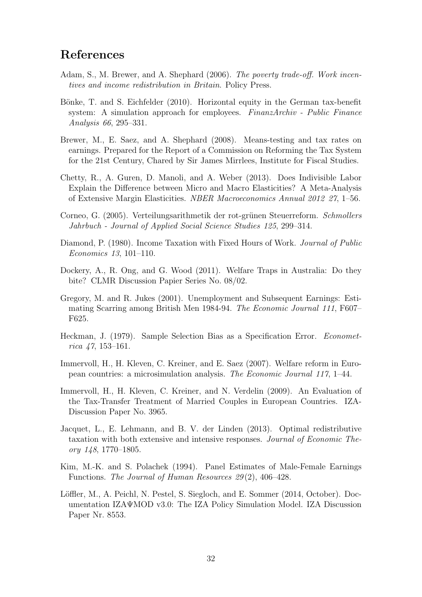## References

- <span id="page-34-7"></span>Adam, S., M. Brewer, and A. Shephard (2006). The poverty trade-off. Work incentives and income redistribution in Britain. Policy Press.
- <span id="page-34-13"></span>Bönke, T. and S. Eichfelder (2010). Horizontal equity in the German tax-benefit system: A simulation approach for employees. FinanzArchiv - Public Finance Analysis 66, 295–331.
- <span id="page-34-8"></span>Brewer, M., E. Saez, and A. Shephard (2008). Means-testing and tax rates on earnings. Prepared for the Report of a Commission on Reforming the Tax System for the 21st Century, Chared by Sir James Mirrlees, Institute for Fiscal Studies.
- <span id="page-34-3"></span>Chetty, R., A. Guren, D. Manoli, and A. Weber (2013). Does Indivisible Labor Explain the Difference between Micro and Macro Elasticities? A Meta-Analysis of Extensive Margin Elasticities. NBER Macroeconomics Annual 2012 27, 1–56.
- <span id="page-34-0"></span>Corneo, G. (2005). Verteilungsarithmetik der rot-grünen Steuerreform. Schmollers Jahrbuch - Journal of Applied Social Science Studies 125, 299–314.
- <span id="page-34-1"></span>Diamond, P. (1980). Income Taxation with Fixed Hours of Work. Journal of Public Economics 13, 101–110.
- <span id="page-34-6"></span>Dockery, A., R. Ong, and G. Wood (2011). Welfare Traps in Australia: Do they bite? CLMR Discussion Papier Series No. 08/02.
- <span id="page-34-12"></span>Gregory, M. and R. Jukes (2001). Unemployment and Subsequent Earnings: Estimating Scarring among British Men 1984-94. The Economic Journal 111, F607– F625.
- <span id="page-34-9"></span>Heckman, J. (1979). Sample Selection Bias as a Specification Error. Econometrica 47, 153–161.
- <span id="page-34-4"></span>Immervoll, H., H. Kleven, C. Kreiner, and E. Saez (2007). Welfare reform in European countries: a microsimulation analysis. The Economic Journal 117, 1–44.
- <span id="page-34-5"></span>Immervoll, H., H. Kleven, C. Kreiner, and N. Verdelin (2009). An Evaluation of the Tax-Transfer Treatment of Married Couples in European Countries. IZA-Discussion Paper No. 3965.
- <span id="page-34-2"></span>Jacquet, L., E. Lehmann, and B. V. der Linden (2013). Optimal redistributive taxation with both extensive and intensive responses. Journal of Economic Theory 148, 1770–1805.
- <span id="page-34-11"></span>Kim, M.-K. and S. Polachek (1994). Panel Estimates of Male-Female Earnings Functions. The Journal of Human Resources 29(2), 406–428.
- <span id="page-34-10"></span>Löffler, M., A. Peichl, N. Pestel, S. Siegloch, and E. Sommer (2014, October). Documentation IZAΨMOD v3.0: The IZA Policy Simulation Model. IZA Discussion Paper Nr. 8553.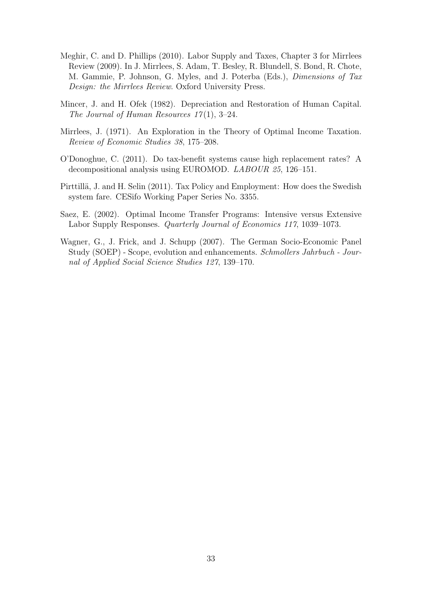- <span id="page-35-2"></span>Meghir, C. and D. Phillips (2010). Labor Supply and Taxes, Chapter 3 for Mirrlees Review (2009). In J. Mirrlees, S. Adam, T. Besley, R. Blundell, S. Bond, R. Chote, M. Gammie, P. Johnson, G. Myles, and J. Poterba (Eds.), Dimensions of Tax Design: the Mirrlees Review. Oxford University Press.
- <span id="page-35-6"></span>Mincer, J. and H. Ofek (1982). Depreciation and Restoration of Human Capital. The Journal of Human Resources  $17(1)$ , 3-24.
- <span id="page-35-0"></span>Mirrlees, J. (1971). An Exploration in the Theory of Optimal Income Taxation. Review of Economic Studies 38, 175–208.
- <span id="page-35-3"></span>O'Donoghue, C. (2011). Do tax-benefit systems cause high replacement rates? A decompositional analysis using EUROMOD. LABOUR 25, 126-151.
- <span id="page-35-4"></span>Pirttillä, J. and H. Selin (2011). Tax Policy and Employment: How does the Swedish system fare. CESifo Working Paper Series No. 3355.
- <span id="page-35-1"></span>Saez, E. (2002). Optimal Income Transfer Programs: Intensive versus Extensive Labor Supply Responses. Quarterly Journal of Economics 117, 1039–1073.
- <span id="page-35-5"></span>Wagner, G., J. Frick, and J. Schupp (2007). The German Socio-Economic Panel Study (SOEP) - Scope, evolution and enhancements. Schmollers Jahrbuch - Journal of Applied Social Science Studies 127, 139–170.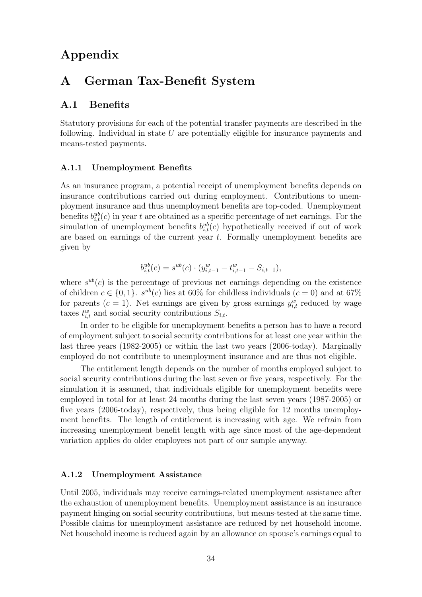## Appendix

## <span id="page-36-0"></span>A German Tax-Benefit System

### A.1 Benefits

Statutory provisions for each of the potential transfer payments are described in the following. Individual in state  $U$  are potentially eligible for insurance payments and means-tested payments.

#### A.1.1 Unemployment Benefits

As an insurance program, a potential receipt of unemployment benefits depends on insurance contributions carried out during employment. Contributions to unemployment insurance and thus unemployment benefits are top-coded. Unemployment benefits  $b_{i,t}^{ub}(c)$  in year t are obtained as a specific percentage of net earnings. For the simulation of unemployment benefits  $b_{i,t}^{ub}(c)$  hypothetically received if out of work are based on earnings of the current year t. Formally unemployment benefits are given by

$$
b_{i,t}^{ub}(c) = s^{ub}(c) \cdot (y_{i,t-1}^w - t_{i,t-1}^w - S_{i,t-1}),
$$

where  $s^{ub}(c)$  is the percentage of previous net earnings depending on the existence of children  $c \in \{0, 1\}$ .  $s^{ub}(c)$  lies at 60% for childless individuals  $(c = 0)$  and at 67% for parents  $(c = 1)$ . Net earnings are given by gross earnings  $y_{i,t}^w$  reduced by wage taxes  $t_{i,t}^w$  and social security contributions  $S_{i,t}$ .

In order to be eligible for unemployment benefits a person has to have a record of employment subject to social security contributions for at least one year within the last three years (1982-2005) or within the last two years (2006-today). Marginally employed do not contribute to unemployment insurance and are thus not eligible.

The entitlement length depends on the number of months employed subject to social security contributions during the last seven or five years, respectively. For the simulation it is assumed, that individuals eligible for unemployment benefits were employed in total for at least 24 months during the last seven years (1987-2005) or five years (2006-today), respectively, thus being eligible for 12 months unemployment benefits. The length of entitlement is increasing with age. We refrain from increasing unemployment benefit length with age since most of the age-dependent variation applies do older employees not part of our sample anyway.

#### A.1.2 Unemployment Assistance

Until 2005, individuals may receive earnings-related unemployment assistance after the exhaustion of unemployment benefits. Unemployment assistance is an insurance payment hinging on social security contributions, but means-tested at the same time. Possible claims for unemployment assistance are reduced by net household income. Net household income is reduced again by an allowance on spouse's earnings equal to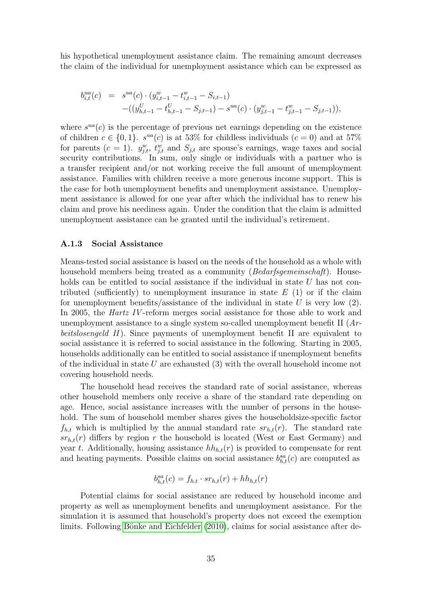his hypothetical unemployment assistance claim. The remaining amount decreases the claim of the individual for unemployment assistance which can be expressed as

$$
b_{i,t}^{ua}(c) = s^{ua}(c) \cdot (y_{i,t-1}^w - t_{i,t-1}^w - S_{i,t-1})
$$
  
-
$$
((y_{h,t-1}^U - t_{h,t-1}^U - S_{j,t-1}) - s^{ua}(c) \cdot (y_{j,t-1}^w - t_{j,t-1}^w - S_{j,t-1})),
$$

where  $s^{ua}(c)$  is the percentage of previous net earnings depending on the existence of children  $c \in \{0,1\}$ .  $s^{ua}(c)$  is at 53% for childless individuals  $(c = 0)$  and at 57% for parents  $(c = 1)$ .  $y_{j,t}^w$ ,  $t_{j,t}^w$  and  $S_{j,t}$  are spouse's earnings, wage taxes and social security contributions. In sum, only single or individuals with a partner who is a transfer recipient and/or not working receive the full amount of unemployment assistance. Families with children receive a more generous income support. This is the case for both unemployment benefits and unemployment assistance. Unemployment assistance is allowed for one year after which the individual has to renew his claim and prove his neediness again. Under the condition that the claim is admitted unemployment assistance can be granted until the individual's retirement.

#### A.1.3 Social Assistance

Means-tested social assistance is based on the needs of the household as a whole with household members being treated as a community (Bedarfsgemeinschaft). Households can be entitled to social assistance if the individual in state  $U$  has not contributed (sufficiently) to unemployment insurance in state  $E(1)$  or if the claim for unemployment benefits/assistance of the individual in state  $U$  is very low  $(2)$ . In 2005, the *Hartz IV*-reform merges social assistance for those able to work and unemployment assistance to a single system so-called unemployment benefit  $II(Ar-)$ beitslosengeld II). Since payments of unemployment benefit II are equivalent to social assistance it is referred to social assistance in the following. Starting in 2005, households additionally can be entitled to social assistance if unemployment benefits of the individual in state U are exhausted  $(3)$  with the overall household income not covering household needs.

The household head receives the standard rate of social assistance, whereas other household members only receive a share of the standard rate depending on age. Hence, social assistance increases with the number of persons in the household. The sum of household member shares gives the householdsize-specific factor  $f_{h,t}$  which is multiplied by the annual standard rate  $sr_{h,t}(r)$ . The standard rate  $sr_{h,t}(r)$  differs by region r the household is located (West or East Germany) and year t. Additionally, housing assistance  $hh<sub>h,t</sub>(r)$  is provided to compensate for rent and heating payments. Possible claims on social assistance  $b_{h,t}^{sa}(c)$  are computed as

$$
b_{h,t}^{sa}(c) = f_{h,t} \cdot sr_{h,t}(r) + h_{h,t}(r)
$$

Potential claims for social assistance are reduced by household income and property as well as unemployment benefits and unemployment assistance. For the simulation it is assumed that household's property does not exceed the exemption limits. Following Bönke and Eichfelder [\(2010\)](#page-34-13), claims for social assistance after de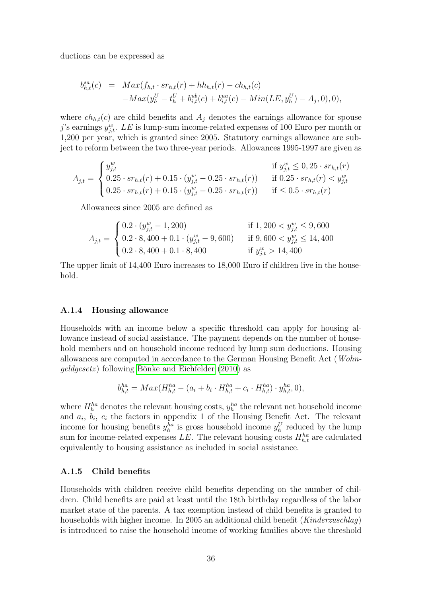ductions can be expressed as

$$
b_{h,t}^{sa}(c) = Max(f_{h,t} \cdot sr_{h,t}(r) + h_{h,t}(r) - ch_{h,t}(c) -Max(y_h^U - t_h^U + b_{i,t}^{ub}(c) + b_{i,t}^{ua}(c) - Min(LE, y_h^U) - A_j, 0), 0),
$$

where  $ch_{h,t}(c)$  are child benefits and  $A_i$  denotes the earnings allowance for spouse j's earnings  $y_{j,t}^w$ . LE is lump-sum income-related expenses of 100 Euro per month or 1,200 per year, which is granted since 2005. Statutory earnings allowance are subject to reform between the two three-year periods. Allowances 1995-1997 are given as

$$
A_{j,t} = \begin{cases} y_{j,t}^w & \text{if } y_{j,t}^w \le 0, 25 \cdot sr_{h,t}(r) \\ 0.25 \cdot sr_{h,t}(r) + 0.15 \cdot (y_{j,t}^w - 0.25 \cdot sr_{h,t}(r)) & \text{if } 0.25 \cdot sr_{h,t}(r) < y_{j,t}^w \\ 0.25 \cdot sr_{h,t}(r) + 0.15 \cdot (y_{j,t}^w - 0.25 \cdot sr_{h,t}(r)) & \text{if } \le 0.5 \cdot sr_{h,t}(r) \end{cases}
$$

Allowances since 2005 are defined as

$$
A_{j,t} = \begin{cases} 0.2 \cdot (y_{j,t}^w - 1, 200) & \text{if } 1,200 < y_{j,t}^w \le 9,600 \\ 0.2 \cdot 8,400 + 0.1 \cdot (y_{j,t}^w - 9,600) & \text{if } 9,600 < y_{j,t}^w \le 14,400 \\ 0.2 \cdot 8,400 + 0.1 \cdot 8,400 & \text{if } y_{j,t}^w > 14,400 \end{cases}
$$

The upper limit of 14,400 Euro increases to 18,000 Euro if children live in the household.

#### A.1.4 Housing allowance

Households with an income below a specific threshold can apply for housing allowance instead of social assistance. The payment depends on the number of household members and on household income reduced by lump sum deductions. Housing allowances are computed in accordance to the German Housing Benefit Act (Wohn $geldeseetz$ ) following Bönke and Eichfelder [\(2010\)](#page-34-13) as

$$
b_{h,t}^{ha} = Max(H_{h,t}^{ha} - (a_i + b_i \cdot H_{h,t}^{ha} + c_i \cdot H_{h,t}^{ha}) \cdot y_{h,t}^{ha}, 0),
$$

where  $H_h^{ha}$  denotes the relevant housing costs,  $y_h^{ha}$  the relevant net household income and  $a_i$ ,  $b_i$ ,  $c_i$  the factors in appendix 1 of the Housing Benefit Act. The relevant income for housing benefits  $y_h^{ha}$  is gross household income  $y_h^U$  reduced by the lump sum for income-related expenses LE. The relevant housing costs  $H_{h,t}^{ha}$  are calculated equivalently to housing assistance as included in social assistance.

#### A.1.5 Child benefits

Households with children receive child benefits depending on the number of children. Child benefits are paid at least until the 18th birthday regardless of the labor market state of the parents. A tax exemption instead of child benefits is granted to households with higher income. In 2005 an additional child benefit (*Kinderzuschlag*) is introduced to raise the household income of working families above the threshold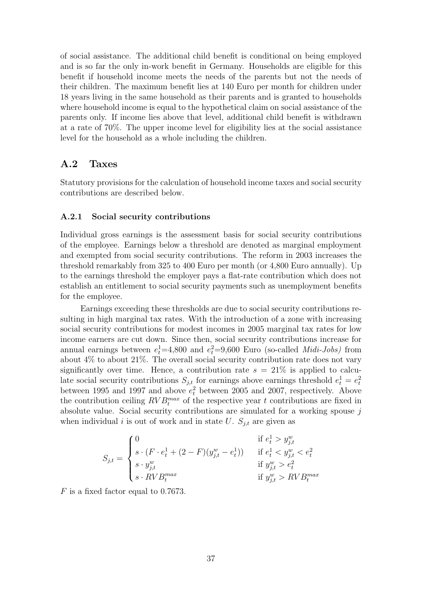of social assistance. The additional child benefit is conditional on being employed and is so far the only in-work benefit in Germany. Households are eligible for this benefit if household income meets the needs of the parents but not the needs of their children. The maximum benefit lies at 140 Euro per month for children under 18 years living in the same household as their parents and is granted to households where household income is equal to the hypothetical claim on social assistance of the parents only. If income lies above that level, additional child benefit is withdrawn at a rate of 70%. The upper income level for eligibility lies at the social assistance level for the household as a whole including the children.

#### A.2 Taxes

Statutory provisions for the calculation of household income taxes and social security contributions are described below.

#### A.2.1 Social security contributions

Individual gross earnings is the assessment basis for social security contributions of the employee. Earnings below a threshold are denoted as marginal employment and exempted from social security contributions. The reform in 2003 increases the threshold remarkably from 325 to 400 Euro per month (or 4,800 Euro annually). Up to the earnings threshold the employer pays a flat-rate contribution which does not establish an entitlement to social security payments such as unemployment benefits for the employee.

Earnings exceeding these thresholds are due to social security contributions resulting in high marginal tax rates. With the introduction of a zone with increasing social security contributions for modest incomes in 2005 marginal tax rates for low income earners are cut down. Since then, social security contributions increase for annual earnings between  $e_t^1 = 4,800$  and  $e_t^2 = 9,600$  Euro (so-called *Midi-Jobs)* from about 4% to about 21%. The overall social security contribution rate does not vary significantly over time. Hence, a contribution rate  $s = 21\%$  is applied to calculate social security contributions  $S_{j,t}$  for earnings above earnings threshold  $e_t^1 = e_t^2$ between 1995 and 1997 and above  $e_t^2$  between 2005 and 2007, respectively. Above the contribution ceiling  $RVB_t^{max}$  of the respective year t contributions are fixed in absolute value. Social security contributions are simulated for a working spouse j when individual i is out of work and in state U.  $S_{j,t}$  are given as

$$
S_{j,t} = \begin{cases} 0 & \text{if } e_t^1 > y_{j,t}^w \\ s \cdot (F \cdot e_t^1 + (2 - F)(y_{j,t}^w - e_t^1)) & \text{if } e_t^1 < y_{j,t}^w < e_t^2 \\ s \cdot y_{j,t}^w & \text{if } y_{j,t}^w > e_t^2 \\ s \cdot RVB_t^{max} & \text{if } y_{j,t}^w > RVB_t^{max} \end{cases}
$$

F is a fixed factor equal to 0.7673.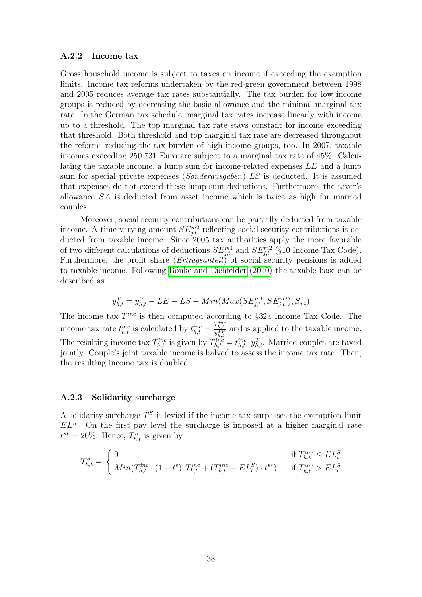#### A.2.2 Income tax

Gross household income is subject to taxes on income if exceeding the exemption limits. Income tax reforms undertaken by the red-green government between 1998 and 2005 reduces average tax rates substantially. The tax burden for low income groups is reduced by decreasing the basic allowance and the minimal marginal tax rate. In the German tax schedule, marginal tax rates increase linearly with income up to a threshold. The top marginal tax rate stays constant for income exceeding that threshold. Both threshold and top marginal tax rate are decreased throughout the reforms reducing the tax burden of high income groups, too. In 2007, taxable incomes exceeding 250.731 Euro are subject to a marginal tax rate of 45%. Calculating the taxable income, a lump sum for income-related expenses LE and a lump sum for special private expenses (Sonderausgaben) LS is deducted. It is assumed that expenses do not exceed these lump-sum deductions. Furthermore, the saver's allowance SA is deducted from asset income which is twice as high for married couples.

Moreover, social security contributions can be partially deducted from taxable income. A time-varying amount  $SE^{m2}_{j,t}$  reflecting social security contributions is deducted from taxable income. Since 2005 tax authorities apply the more favorable of two different calculations of deductions  $SE^{m1}_{j,t}$  and  $SE^{m2}_{j,t}$  (§10 Income Tax Code). Furthermore, the profit share (*Ertragsanteil*) of social security pensions is added to taxable income. Following Bönke and Eichfelder [\(2010\)](#page-34-13) the taxable base can be described as

$$
y_{h,t}^T = y_{h,t}^U - LE - LS - Min(Max(SE_{j,t}^{m1}, SE_{j,t}^{m2}), S_{j,t})
$$

The income tax  $T^{inc}$  is then computed according to  $\S 32a$  Income Tax Code. The income tax rate  $t_{h,t}^{inc}$  is calculated by  $t_{h,t}^{inc} = \frac{T_{h,t}^{inc}}{y_{h,t}^{TP}}$  and is applied to the taxable income. The resulting income tax  $T_{h,t}^{inc}$  is given by  $T_{h,t}^{inc} = t_{h,t}^{inc} \cdot y_{h,t}^T$ . Married couples are taxed jointly. Couple's joint taxable income is halved to assess the income tax rate. Then, the resulting income tax is doubled.

#### A.2.3 Solidarity surcharge

A solidarity surcharge  $T<sup>S</sup>$  is levied if the income tax surpasses the exemption limit  $EL<sup>S</sup>$ . On the first pay level the surcharge is imposed at a higher marginal rate  $t^{s*} = 20\%$ . Hence,  $T_{h,t}^S$  is given by

$$
T_{h,t}^{S} = \begin{cases} 0 & \text{if } T_{h,t}^{inc} \le EL_t^{S} \\ Min(T_{h,t}^{inc} \cdot (1+t^s), T_{h,t}^{inc} + (T_{h,t}^{inc} - EL_t^{S}) \cdot t^{s*}) & \text{if } T_{h,t}^{inc} > EL_t^{S} \end{cases}
$$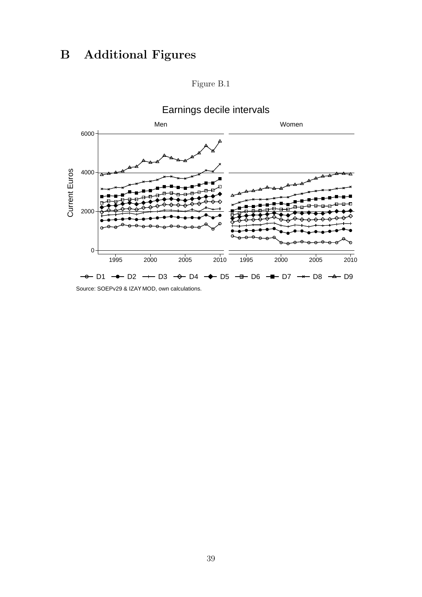## <span id="page-41-0"></span>B Additional Figures



Figure B.1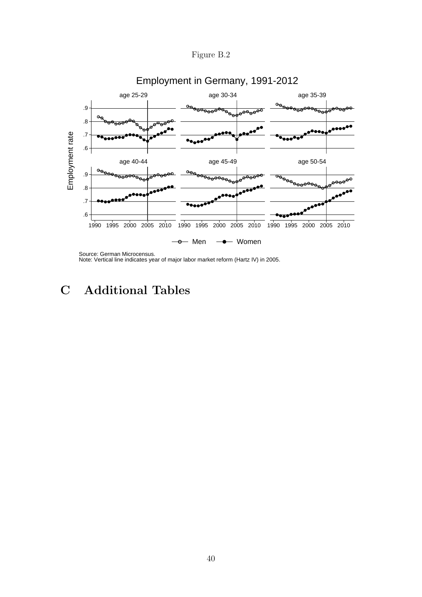

<span id="page-42-0"></span>

## Employment in Germany, 1991-2012

Source: German Microcensus. Note: Vertical line indicates year of major labor market reform (Hartz IV) in 2005.

## C Additional Tables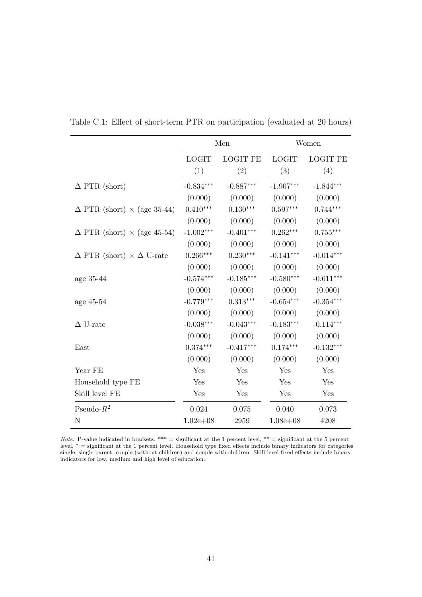|                                             | Men          |                 |              | Women           |  |
|---------------------------------------------|--------------|-----------------|--------------|-----------------|--|
|                                             | <b>LOGIT</b> | <b>LOGIT FE</b> | <b>LOGIT</b> | <b>LOGIT FE</b> |  |
|                                             | (1)          | (2)             | (3)          | (4)             |  |
| $\Delta$ PTR (short)                        | $-0.834***$  | $-0.887***$     | $-1.907***$  | $-1.844***$     |  |
|                                             | (0.000)      | (0.000)         | (0.000)      | (0.000)         |  |
| $\Delta$ PTR (short) $\times$ (age 35-44)   | $0.410***$   | $0.130***$      | $0.597***$   | $0.744***$      |  |
|                                             | (0.000)      | (0.000)         | (0.000)      | (0.000)         |  |
| $\Delta$ PTR (short) $\times$ (age 45-54)   | $-1.002***$  | $-0.401***$     | $0.262***$   | $0.755***$      |  |
|                                             | (0.000)      | (0.000)         | (0.000)      | (0.000)         |  |
| $\Delta$ PTR (short) $\times \Delta$ U-rate | $0.266***$   | $0.230***$      | $-0.141***$  | $-0.014***$     |  |
|                                             | (0.000)      | (0.000)         | (0.000)      | (0.000)         |  |
| age 35-44                                   | $-0.574***$  | $-0.185***$     | $-0.580***$  | $-0.611***$     |  |
|                                             | (0.000)      | (0.000)         | (0.000)      | (0.000)         |  |
| age 45-54                                   | $-0.779***$  | $0.313***$      | $-0.654***$  | $-0.354***$     |  |
|                                             | (0.000)      | (0.000)         | (0.000)      | (0.000)         |  |
| $\Delta$ U-rate                             | $-0.038***$  | $-0.043***$     | $-0.183***$  | $-0.114***$     |  |
|                                             | (0.000)      | (0.000)         | (0.000)      | (0.000)         |  |
| East                                        | $0.374***$   | $-0.417***$     | $0.174***$   | $-0.132***$     |  |
|                                             | (0.000)      | (0.000)         | (0.000)      | (0.000)         |  |
| Year FE                                     | Yes          | Yes             | Yes          | Yes             |  |
| Household type FE                           | Yes          | Yes             | Yes          | Yes             |  |
| Skill level FE                              | Yes          | Yes             | Yes          | Yes             |  |
| Pseudo- $R^2$                               | 0.024        | 0.075           | 0.040        | 0.073           |  |
| N                                           | $1.02e + 08$ | 2959            | $1.08e + 08$ | 4208            |  |

<span id="page-43-0"></span>Table C.1: Effect of short-term PTR on participation (evaluated at 20 hours)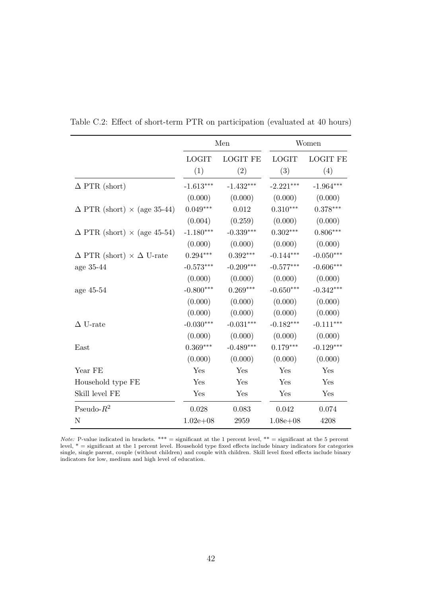|                                             | Men          |                 |              | Women           |  |
|---------------------------------------------|--------------|-----------------|--------------|-----------------|--|
|                                             | <b>LOGIT</b> | <b>LOGIT FE</b> | <b>LOGIT</b> | <b>LOGIT FE</b> |  |
|                                             | (1)          | (2)             | (3)          | (4)             |  |
| $\Delta$ PTR (short)                        | $-1.613***$  | $-1.432***$     | $-2.221***$  | $-1.964***$     |  |
|                                             | (0.000)      | (0.000)         | (0.000)      | (0.000)         |  |
| $\Delta$ PTR (short) $\times$ (age 35-44)   | $0.049***$   | 0.012           | $0.310***$   | $0.378***$      |  |
|                                             | (0.004)      | (0.259)         | (0.000)      | (0.000)         |  |
| $\Delta$ PTR (short) $\times$ (age 45-54)   | $-1.180***$  | $-0.339***$     | $0.302***$   | $0.806***$      |  |
|                                             | (0.000)      | (0.000)         | (0.000)      | (0.000)         |  |
| $\Delta$ PTR (short) $\times \Delta$ U-rate | $0.294***$   | $0.392***$      | $-0.144***$  | $-0.050***$     |  |
| age 35-44                                   | $-0.573***$  | $-0.209***$     | $-0.577***$  | $-0.606***$     |  |
|                                             | (0.000)      | (0.000)         | (0.000)      | (0.000)         |  |
| age 45-54                                   | $-0.800***$  | $0.269***$      | $-0.650***$  | $-0.342***$     |  |
|                                             | (0.000)      | (0.000)         | (0.000)      | (0.000)         |  |
|                                             | (0.000)      | (0.000)         | (0.000)      | (0.000)         |  |
| $\Delta$ U-rate                             | $-0.030***$  | $-0.031***$     | $-0.182***$  | $-0.111***$     |  |
|                                             | (0.000)      | (0.000)         | (0.000)      | (0.000)         |  |
| East                                        | $0.369***$   | $-0.489***$     | $0.179***$   | $-0.129***$     |  |
|                                             | (0.000)      | (0.000)         | (0.000)      | (0.000)         |  |
| Year FE                                     | Yes          | Yes             | Yes          | Yes             |  |
| Household type FE                           | Yes          | Yes             | Yes          | Yes             |  |
| Skill level FE                              | Yes          | Yes             | Yes          | Yes             |  |
| Pseudo- $R^2$                               | 0.028        | 0.083           | 0.042        | 0.074           |  |
| N                                           | $1.02e + 08$ | 2959            | $1.08e + 08$ | 4208            |  |

Table C.2: Effect of short-term PTR on participation (evaluated at 40 hours)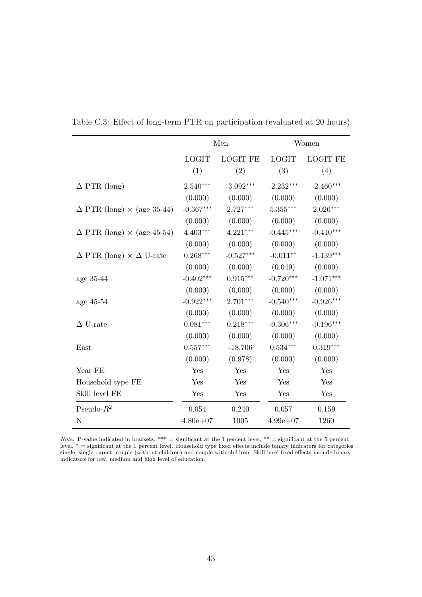|                                            | Men          |                 |              | Women           |  |
|--------------------------------------------|--------------|-----------------|--------------|-----------------|--|
|                                            | <b>LOGIT</b> | <b>LOGIT FE</b> | <b>LOGIT</b> | <b>LOGIT FE</b> |  |
|                                            | (1)          | (2)             | (3)          | (4)             |  |
| $\Delta$ PTR (long)                        | $2.540***$   | $-3.092***$     | $-2.232***$  | $-2.460***$     |  |
|                                            | (0.000)      | (0.000)         | (0.000)      | (0.000)         |  |
| $\Delta$ PTR (long) $\times$ (age 35-44)   | $-0.367***$  | $2.727***$      | $5.355***$   | $2.026***$      |  |
|                                            | (0.000)      | (0.000)         | (0.000)      | (0.000)         |  |
| $\Delta$ PTR (long) $\times$ (age 45-54)   | $4.403***$   | $4.221***$      | $-0.445***$  | $-0.410***$     |  |
|                                            | (0.000)      | (0.000)         | (0.000)      | (0.000)         |  |
| $\Delta$ PTR (long) $\times \Delta$ U-rate | $0.268***$   | $-0.527***$     | $-0.011**$   | $-1.139***$     |  |
|                                            | (0.000)      | (0.000)         | (0.049)      | (0.000)         |  |
| age 35-44                                  | $-0.402***$  | $0.915***$      | $-0.720***$  | $-1.071***$     |  |
|                                            | (0.000)      | (0.000)         | (0.000)      | (0.000)         |  |
| age 45-54                                  | $-0.922***$  | $2.701***$      | $-0.540***$  | $-0.926***$     |  |
|                                            | (0.000)      | (0.000)         | (0.000)      | (0.000)         |  |
| $\Delta$ U-rate                            | $0.081***$   | $0.218***$      | $-0.306***$  | $-0.196***$     |  |
|                                            | (0.000)      | (0.000)         | (0.000)      | (0.000)         |  |
| East                                       | $0.557***$   | $-18.706$       | $0.534***$   | $0.319***$      |  |
|                                            | (0.000)      | (0.978)         | (0.000)      | (0.000)         |  |
| Year FE                                    | Yes          | Yes             | Yes          | Yes             |  |
| Household type FE                          | Yes          | Yes             | Yes          | Yes             |  |
| Skill level FE                             | Yes          | Yes             | Yes          | Yes             |  |
| Pseudo- $R^2$                              | 0.054        | 0.240           | 0.057        | 0.159           |  |
| N                                          | $4.80e + 07$ | 1005            | $4.99e + 07$ | 1260            |  |

Table C.3: Effect of long-term PTR on participation (evaluated at 20 hours)